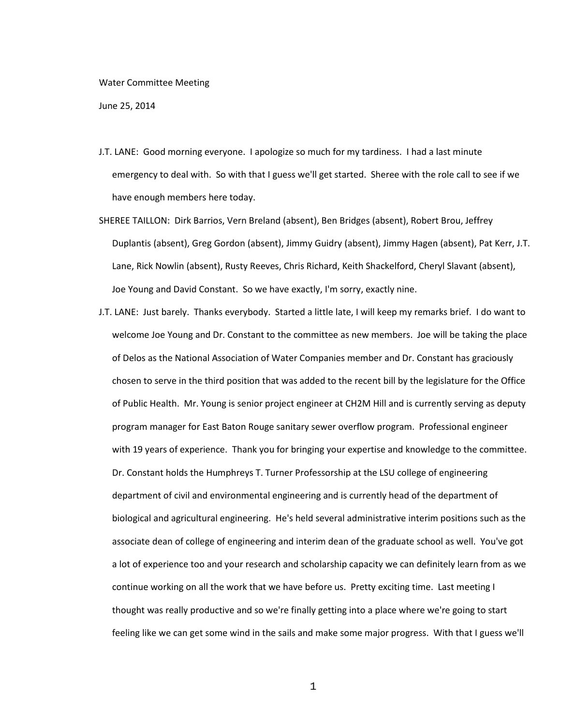## Water Committee Meeting

June 25, 2014

- J.T. LANE: Good morning everyone. I apologize so much for my tardiness. I had a last minute emergency to deal with. So with that I guess we'll get started. Sheree with the role call to see if we have enough members here today.
- SHEREE TAILLON: Dirk Barrios, Vern Breland (absent), Ben Bridges (absent), Robert Brou, Jeffrey Duplantis (absent), Greg Gordon (absent), Jimmy Guidry (absent), Jimmy Hagen (absent), Pat Kerr, J.T. Lane, Rick Nowlin (absent), Rusty Reeves, Chris Richard, Keith Shackelford, Cheryl Slavant (absent), Joe Young and David Constant. So we have exactly, I'm sorry, exactly nine.
- J.T. LANE: Just barely. Thanks everybody. Started a little late, I will keep my remarks brief. I do want to welcome Joe Young and Dr. Constant to the committee as new members. Joe will be taking the place of Delos as the National Association of Water Companies member and Dr. Constant has graciously chosen to serve in the third position that was added to the recent bill by the legislature for the Office of Public Health. Mr. Young is senior project engineer at CH2M Hill and is currently serving as deputy program manager for East Baton Rouge sanitary sewer overflow program. Professional engineer with 19 years of experience. Thank you for bringing your expertise and knowledge to the committee. Dr. Constant holds the Humphreys T. Turner Professorship at the LSU college of engineering department of civil and environmental engineering and is currently head of the department of biological and agricultural engineering. He's held several administrative interim positions such as the associate dean of college of engineering and interim dean of the graduate school as well. You've got a lot of experience too and your research and scholarship capacity we can definitely learn from as we continue working on all the work that we have before us. Pretty exciting time. Last meeting I thought was really productive and so we're finally getting into a place where we're going to start feeling like we can get some wind in the sails and make some major progress. With that I guess we'll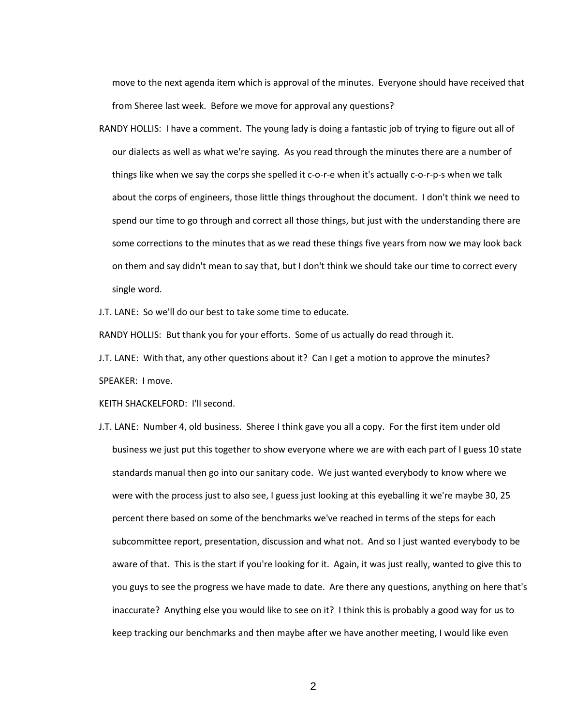move to the next agenda item which is approval of the minutes. Everyone should have received that from Sheree last week. Before we move for approval any questions?

RANDY HOLLIS: I have a comment. The young lady is doing a fantastic job of trying to figure out all of our dialects as well as what we're saying. As you read through the minutes there are a number of things like when we say the corps she spelled it c-o-r-e when it's actually c-o-r-p-s when we talk about the corps of engineers, those little things throughout the document. I don't think we need to spend our time to go through and correct all those things, but just with the understanding there are some corrections to the minutes that as we read these things five years from now we may look back on them and say didn't mean to say that, but I don't think we should take our time to correct every single word.

J.T. LANE: So we'll do our best to take some time to educate.

RANDY HOLLIS: But thank you for your efforts. Some of us actually do read through it.

J.T. LANE: With that, any other questions about it? Can I get a motion to approve the minutes?

SPEAKER: I move.

KEITH SHACKELFORD: I'll second.

J.T. LANE: Number 4, old business. Sheree I think gave you all a copy. For the first item under old business we just put this together to show everyone where we are with each part of I guess 10 state standards manual then go into our sanitary code. We just wanted everybody to know where we were with the process just to also see, I guess just looking at this eyeballing it we're maybe 30, 25 percent there based on some of the benchmarks we've reached in terms of the steps for each subcommittee report, presentation, discussion and what not. And so I just wanted everybody to be aware of that. This is the start if you're looking for it. Again, it was just really, wanted to give this to you guys to see the progress we have made to date. Are there any questions, anything on here that's inaccurate? Anything else you would like to see on it? I think this is probably a good way for us to keep tracking our benchmarks and then maybe after we have another meeting, I would like even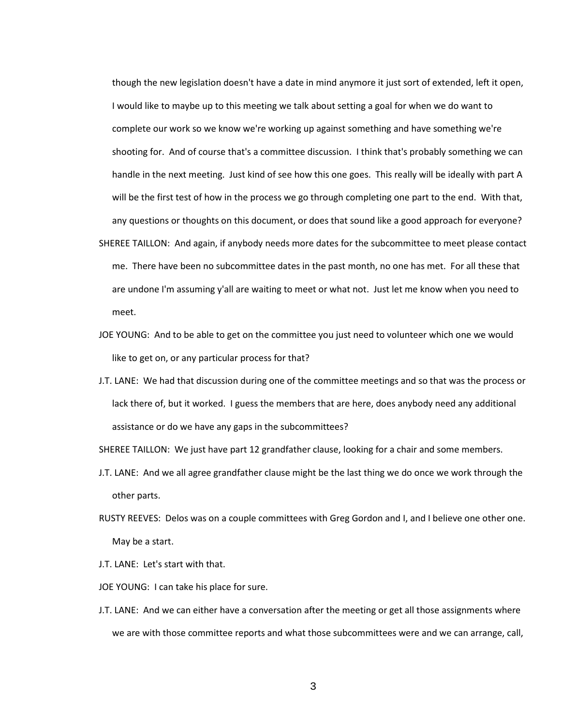though the new legislation doesn't have a date in mind anymore it just sort of extended, left it open, I would like to maybe up to this meeting we talk about setting a goal for when we do want to complete our work so we know we're working up against something and have something we're shooting for. And of course that's a committee discussion. I think that's probably something we can handle in the next meeting. Just kind of see how this one goes. This really will be ideally with part A will be the first test of how in the process we go through completing one part to the end. With that, any questions or thoughts on this document, or does that sound like a good approach for everyone?

- SHEREE TAILLON: And again, if anybody needs more dates for the subcommittee to meet please contact me. There have been no subcommittee dates in the past month, no one has met. For all these that are undone I'm assuming y'all are waiting to meet or what not. Just let me know when you need to meet.
- JOE YOUNG: And to be able to get on the committee you just need to volunteer which one we would like to get on, or any particular process for that?
- J.T. LANE: We had that discussion during one of the committee meetings and so that was the process or lack there of, but it worked. I guess the members that are here, does anybody need any additional assistance or do we have any gaps in the subcommittees?

SHEREE TAILLON: We just have part 12 grandfather clause, looking for a chair and some members.

- J.T. LANE: And we all agree grandfather clause might be the last thing we do once we work through the other parts.
- RUSTY REEVES: Delos was on a couple committees with Greg Gordon and I, and I believe one other one. May be a start.
- J.T. LANE: Let's start with that.
- JOE YOUNG: I can take his place for sure.
- J.T. LANE: And we can either have a conversation after the meeting or get all those assignments where we are with those committee reports and what those subcommittees were and we can arrange, call,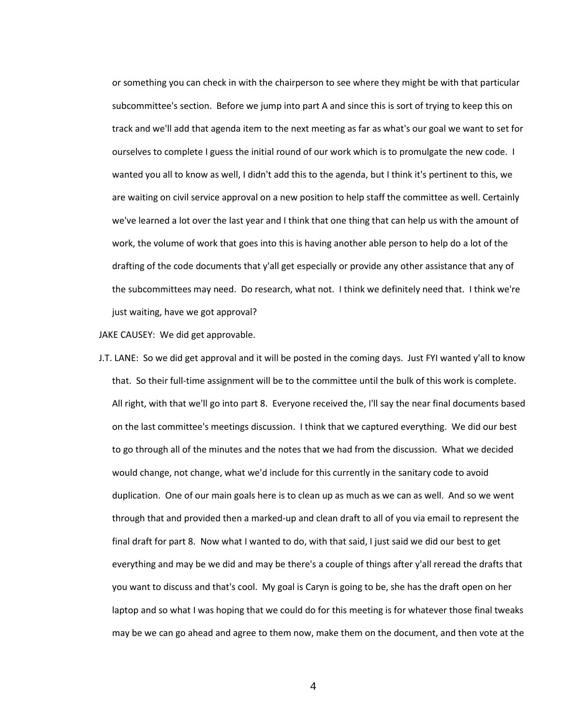or something you can check in with the chairperson to see where they might be with that particular subcommittee's section. Before we jump into part A and since this is sort of trying to keep this on track and we'll add that agenda item to the next meeting as far as what's our goal we want to set for ourselves to complete I guess the initial round of our work which is to promulgate the new code. I wanted you all to know as well, I didn't add this to the agenda, but I think it's pertinent to this, we are waiting on civil service approval on a new position to help staff the committee as well. Certainly we've learned a lot over the last year and I think that one thing that can help us with the amount of work, the volume of work that goes into this is having another able person to help do a lot of the drafting of the code documents that y'all get especially or provide any other assistance that any of the subcommittees may need. Do research, what not. I think we definitely need that. I think we're just waiting, have we got approval?

JAKE CAUSEY: We did get approvable.

J.T. LANE: So we did get approval and it will be posted in the coming days. Just FYI wanted y'all to know that. So their full-time assignment will be to the committee until the bulk of this work is complete. All right, with that we'll go into part 8. Everyone received the, I'll say the near final documents based on the last committee's meetings discussion. I think that we captured everything. We did our best to go through all of the minutes and the notes that we had from the discussion. What we decided would change, not change, what we'd include for this currently in the sanitary code to avoid duplication. One of our main goals here is to clean up as much as we can as well. And so we went through that and provided then a marked-up and clean draft to all of you via email to represent the final draft for part 8. Now what I wanted to do, with that said, I just said we did our best to get everything and may be we did and may be there's a couple of things after y'all reread the drafts that you want to discuss and that's cool. My goal is Caryn is going to be, she has the draft open on her laptop and so what I was hoping that we could do for this meeting is for whatever those final tweaks may be we can go ahead and agree to them now, make them on the document, and then vote at the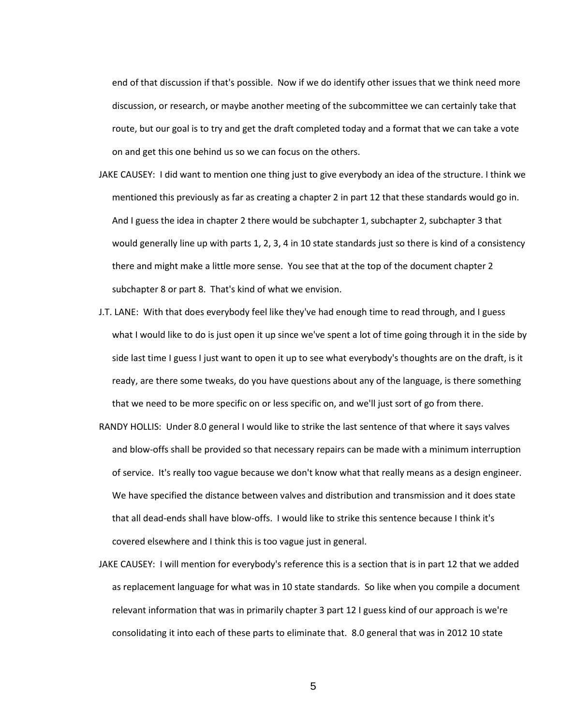end of that discussion if that's possible. Now if we do identify other issues that we think need more discussion, or research, or maybe another meeting of the subcommittee we can certainly take that route, but our goal is to try and get the draft completed today and a format that we can take a vote on and get this one behind us so we can focus on the others.

- JAKE CAUSEY: I did want to mention one thing just to give everybody an idea of the structure. I think we mentioned this previously as far as creating a chapter 2 in part 12 that these standards would go in. And I guess the idea in chapter 2 there would be subchapter 1, subchapter 2, subchapter 3 that would generally line up with parts 1, 2, 3, 4 in 10 state standards just so there is kind of a consistency there and might make a little more sense. You see that at the top of the document chapter 2 subchapter 8 or part 8. That's kind of what we envision.
- J.T. LANE: With that does everybody feel like they've had enough time to read through, and I guess what I would like to do is just open it up since we've spent a lot of time going through it in the side by side last time I guess I just want to open it up to see what everybody's thoughts are on the draft, is it ready, are there some tweaks, do you have questions about any of the language, is there something that we need to be more specific on or less specific on, and we'll just sort of go from there.
- RANDY HOLLIS: Under 8.0 general I would like to strike the last sentence of that where it says valves and blow-offs shall be provided so that necessary repairs can be made with a minimum interruption of service. It's really too vague because we don't know what that really means as a design engineer. We have specified the distance between valves and distribution and transmission and it does state that all dead-ends shall have blow-offs. I would like to strike this sentence because I think it's covered elsewhere and I think this is too vague just in general.
- JAKE CAUSEY: I will mention for everybody's reference this is a section that is in part 12 that we added as replacement language for what was in 10 state standards. So like when you compile a document relevant information that was in primarily chapter 3 part 12 I guess kind of our approach is we're consolidating it into each of these parts to eliminate that. 8.0 general that was in 2012 10 state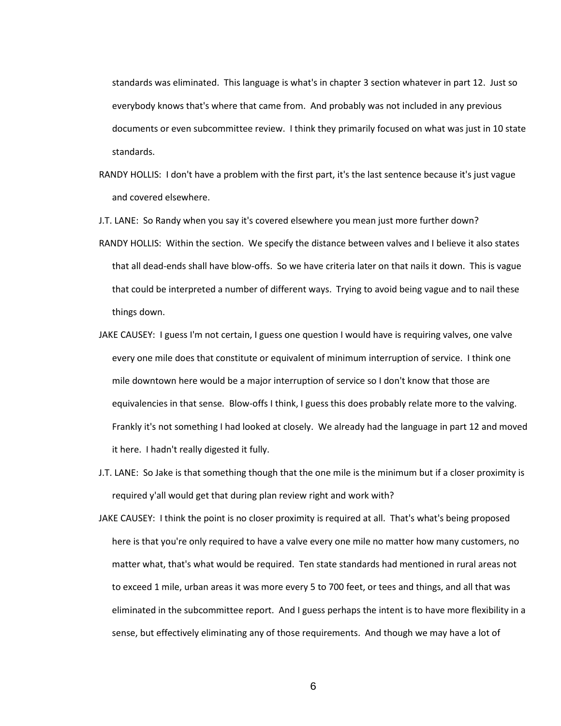standards was eliminated. This language is what's in chapter 3 section whatever in part 12. Just so everybody knows that's where that came from. And probably was not included in any previous documents or even subcommittee review. I think they primarily focused on what was just in 10 state standards.

- RANDY HOLLIS: I don't have a problem with the first part, it's the last sentence because it's just vague and covered elsewhere.
- J.T. LANE: So Randy when you say it's covered elsewhere you mean just more further down?
- RANDY HOLLIS: Within the section. We specify the distance between valves and I believe it also states that all dead-ends shall have blow-offs. So we have criteria later on that nails it down. This is vague that could be interpreted a number of different ways. Trying to avoid being vague and to nail these things down.
- JAKE CAUSEY: I guess I'm not certain, I guess one question I would have is requiring valves, one valve every one mile does that constitute or equivalent of minimum interruption of service. I think one mile downtown here would be a major interruption of service so I don't know that those are equivalencies in that sense. Blow-offs I think, I guess this does probably relate more to the valving. Frankly it's not something I had looked at closely. We already had the language in part 12 and moved it here. I hadn't really digested it fully.
- J.T. LANE: So Jake is that something though that the one mile is the minimum but if a closer proximity is required y'all would get that during plan review right and work with?
- JAKE CAUSEY: I think the point is no closer proximity is required at all. That's what's being proposed here is that you're only required to have a valve every one mile no matter how many customers, no matter what, that's what would be required. Ten state standards had mentioned in rural areas not to exceed 1 mile, urban areas it was more every 5 to 700 feet, or tees and things, and all that was eliminated in the subcommittee report. And I guess perhaps the intent is to have more flexibility in a sense, but effectively eliminating any of those requirements. And though we may have a lot of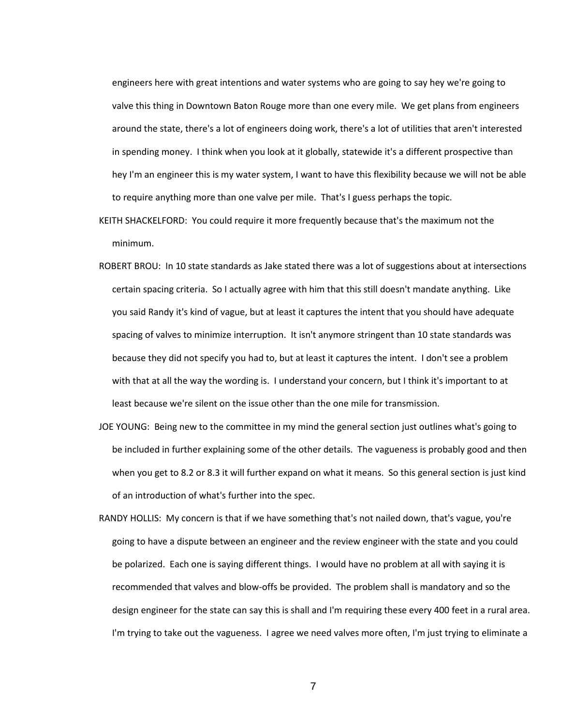engineers here with great intentions and water systems who are going to say hey we're going to valve this thing in Downtown Baton Rouge more than one every mile. We get plans from engineers around the state, there's a lot of engineers doing work, there's a lot of utilities that aren't interested in spending money. I think when you look at it globally, statewide it's a different prospective than hey I'm an engineer this is my water system, I want to have this flexibility because we will not be able to require anything more than one valve per mile. That's I guess perhaps the topic.

- KEITH SHACKELFORD: You could require it more frequently because that's the maximum not the minimum.
- ROBERT BROU: In 10 state standards as Jake stated there was a lot of suggestions about at intersections certain spacing criteria. So I actually agree with him that this still doesn't mandate anything. Like you said Randy it's kind of vague, but at least it captures the intent that you should have adequate spacing of valves to minimize interruption. It isn't anymore stringent than 10 state standards was because they did not specify you had to, but at least it captures the intent. I don't see a problem with that at all the way the wording is. I understand your concern, but I think it's important to at least because we're silent on the issue other than the one mile for transmission.
- JOE YOUNG: Being new to the committee in my mind the general section just outlines what's going to be included in further explaining some of the other details. The vagueness is probably good and then when you get to 8.2 or 8.3 it will further expand on what it means. So this general section is just kind of an introduction of what's further into the spec.
- RANDY HOLLIS: My concern is that if we have something that's not nailed down, that's vague, you're going to have a dispute between an engineer and the review engineer with the state and you could be polarized. Each one is saying different things. I would have no problem at all with saying it is recommended that valves and blow-offs be provided. The problem shall is mandatory and so the design engineer for the state can say this is shall and I'm requiring these every 400 feet in a rural area. I'm trying to take out the vagueness. I agree we need valves more often, I'm just trying to eliminate a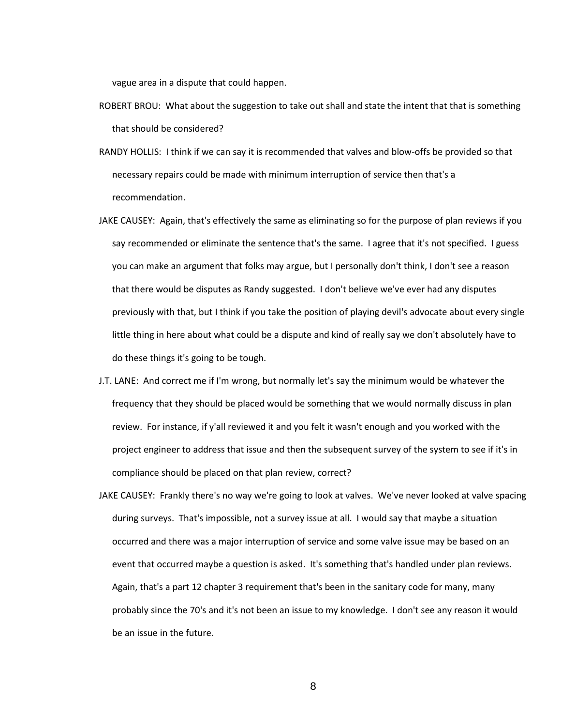vague area in a dispute that could happen.

- ROBERT BROU: What about the suggestion to take out shall and state the intent that that is something that should be considered?
- RANDY HOLLIS: I think if we can say it is recommended that valves and blow-offs be provided so that necessary repairs could be made with minimum interruption of service then that's a recommendation.
- JAKE CAUSEY: Again, that's effectively the same as eliminating so for the purpose of plan reviews if you say recommended or eliminate the sentence that's the same. I agree that it's not specified. I guess you can make an argument that folks may argue, but I personally don't think, I don't see a reason that there would be disputes as Randy suggested. I don't believe we've ever had any disputes previously with that, but I think if you take the position of playing devil's advocate about every single little thing in here about what could be a dispute and kind of really say we don't absolutely have to do these things it's going to be tough.
- J.T. LANE: And correct me if I'm wrong, but normally let's say the minimum would be whatever the frequency that they should be placed would be something that we would normally discuss in plan review. For instance, if y'all reviewed it and you felt it wasn't enough and you worked with the project engineer to address that issue and then the subsequent survey of the system to see if it's in compliance should be placed on that plan review, correct?
- JAKE CAUSEY: Frankly there's no way we're going to look at valves. We've never looked at valve spacing during surveys. That's impossible, not a survey issue at all. I would say that maybe a situation occurred and there was a major interruption of service and some valve issue may be based on an event that occurred maybe a question is asked. It's something that's handled under plan reviews. Again, that's a part 12 chapter 3 requirement that's been in the sanitary code for many, many probably since the 70's and it's not been an issue to my knowledge. I don't see any reason it would be an issue in the future.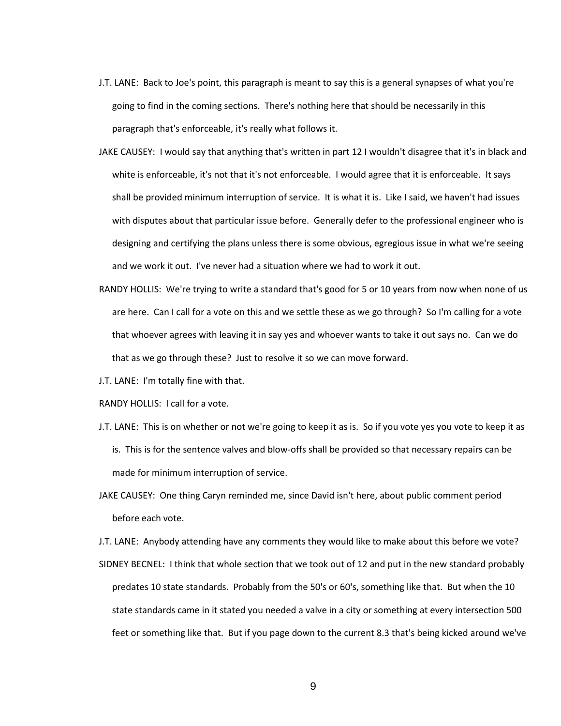- J.T. LANE: Back to Joe's point, this paragraph is meant to say this is a general synapses of what you're going to find in the coming sections. There's nothing here that should be necessarily in this paragraph that's enforceable, it's really what follows it.
- JAKE CAUSEY: I would say that anything that's written in part 12 I wouldn't disagree that it's in black and white is enforceable, it's not that it's not enforceable. I would agree that it is enforceable. It says shall be provided minimum interruption of service. It is what it is. Like I said, we haven't had issues with disputes about that particular issue before. Generally defer to the professional engineer who is designing and certifying the plans unless there is some obvious, egregious issue in what we're seeing and we work it out. I've never had a situation where we had to work it out.
- RANDY HOLLIS: We're trying to write a standard that's good for 5 or 10 years from now when none of us are here. Can I call for a vote on this and we settle these as we go through? So I'm calling for a vote that whoever agrees with leaving it in say yes and whoever wants to take it out says no. Can we do that as we go through these? Just to resolve it so we can move forward.
- J.T. LANE: I'm totally fine with that.
- RANDY HOLLIS: I call for a vote.
- J.T. LANE: This is on whether or not we're going to keep it as is. So if you vote yes you vote to keep it as is. This is for the sentence valves and blow-offs shall be provided so that necessary repairs can be made for minimum interruption of service.
- JAKE CAUSEY: One thing Caryn reminded me, since David isn't here, about public comment period before each vote.
- J.T. LANE: Anybody attending have any comments they would like to make about this before we vote?
- SIDNEY BECNEL: I think that whole section that we took out of 12 and put in the new standard probably predates 10 state standards. Probably from the 50's or 60's, something like that. But when the 10 state standards came in it stated you needed a valve in a city or something at every intersection 500 feet or something like that. But if you page down to the current 8.3 that's being kicked around we've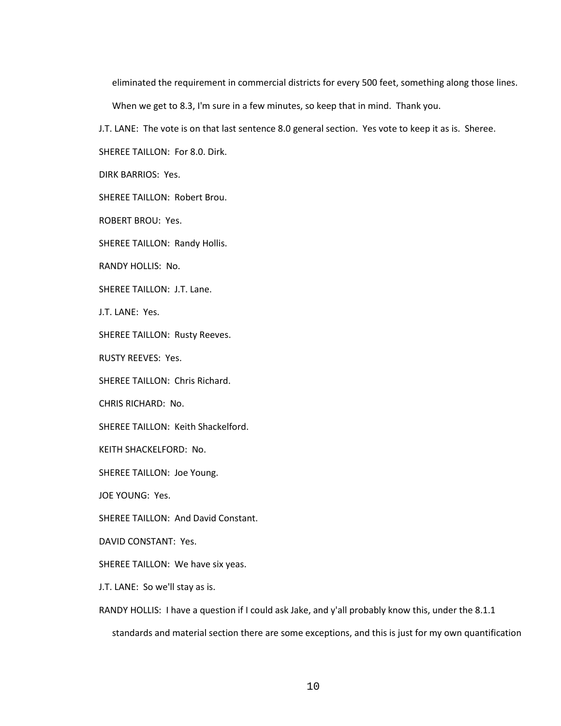eliminated the requirement in commercial districts for every 500 feet, something along those lines.

When we get to 8.3, I'm sure in a few minutes, so keep that in mind. Thank you.

J.T. LANE: The vote is on that last sentence 8.0 general section. Yes vote to keep it as is. Sheree.

SHEREE TAILLON: For 8.0. Dirk.

DIRK BARRIOS: Yes.

SHEREE TAILLON: Robert Brou.

ROBERT BROU: Yes.

SHEREE TAILLON: Randy Hollis.

RANDY HOLLIS: No.

SHEREE TAILLON: J.T. Lane.

J.T. LANE: Yes.

SHEREE TAILLON: Rusty Reeves.

RUSTY REEVES: Yes.

SHEREE TAILLON: Chris Richard.

CHRIS RICHARD: No.

SHEREE TAILLON: Keith Shackelford.

KEITH SHACKELFORD: No.

SHEREE TAILLON: Joe Young.

JOE YOUNG: Yes.

SHEREE TAILLON: And David Constant.

DAVID CONSTANT: Yes.

SHEREE TAILLON: We have six yeas.

J.T. LANE: So we'll stay as is.

RANDY HOLLIS: I have a question if I could ask Jake, and y'all probably know this, under the 8.1.1 standards and material section there are some exceptions, and this is just for my own quantification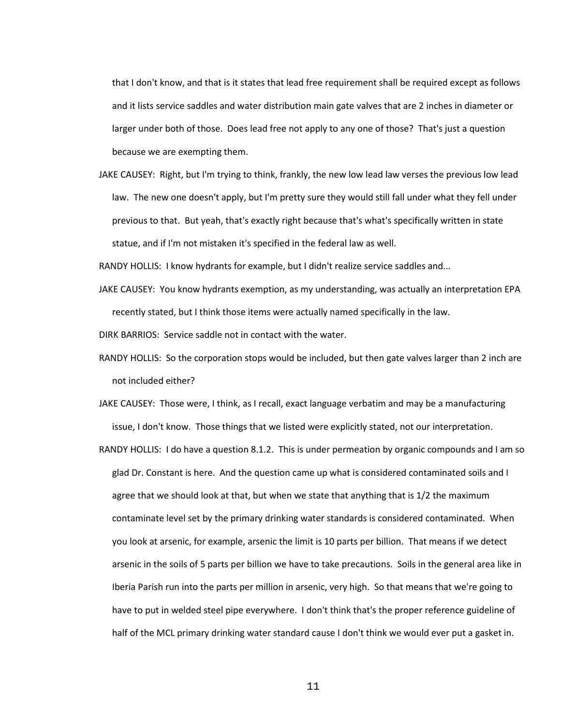that I don't know, and that is it states that lead free requirement shall be required except as follows and it lists service saddles and water distribution main gate valves that are 2 inches in diameter or larger under both of those. Does lead free not apply to any one of those? That's just a question because we are exempting them.

JAKE CAUSEY: Right, but I'm trying to think, frankly, the new low lead law verses the previous low lead law. The new one doesn't apply, but I'm pretty sure they would still fall under what they fell under previous to that. But yeah, that's exactly right because that's what's specifically written in state statue, and if I'm not mistaken it's specified in the federal law as well.

RANDY HOLLIS: I know hydrants for example, but I didn't realize service saddles and...

JAKE CAUSEY: You know hydrants exemption, as my understanding, was actually an interpretation EPA recently stated, but I think those items were actually named specifically in the law.

DIRK BARRIOS: Service saddle not in contact with the water.

- RANDY HOLLIS: So the corporation stops would be included, but then gate valves larger than 2 inch are not included either?
- JAKE CAUSEY: Those were, I think, as I recall, exact language verbatim and may be a manufacturing issue, I don't know. Those things that we listed were explicitly stated, not our interpretation.
- RANDY HOLLIS: I do have a question 8.1.2. This is under permeation by organic compounds and I am so glad Dr. Constant is here. And the question came up what is considered contaminated soils and I agree that we should look at that, but when we state that anything that is 1/2 the maximum contaminate level set by the primary drinking water standards is considered contaminated. When you look at arsenic, for example, arsenic the limit is 10 parts per billion. That means if we detect arsenic in the soils of 5 parts per billion we have to take precautions. Soils in the general area like in Iberia Parish run into the parts per million in arsenic, very high. So that means that we're going to have to put in welded steel pipe everywhere. I don't think that's the proper reference guideline of half of the MCL primary drinking water standard cause I don't think we would ever put a gasket in.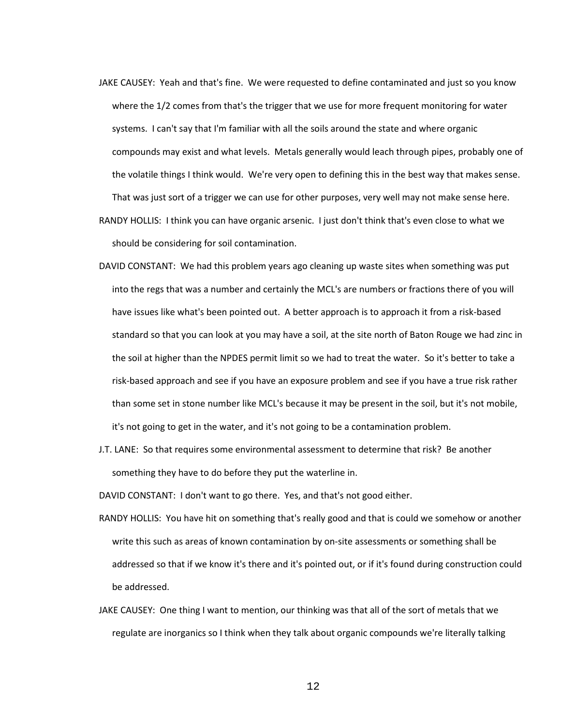JAKE CAUSEY: Yeah and that's fine. We were requested to define contaminated and just so you know where the 1/2 comes from that's the trigger that we use for more frequent monitoring for water systems. I can't say that I'm familiar with all the soils around the state and where organic compounds may exist and what levels. Metals generally would leach through pipes, probably one of the volatile things I think would. We're very open to defining this in the best way that makes sense. That was just sort of a trigger we can use for other purposes, very well may not make sense here. RANDY HOLLIS: I think you can have organic arsenic. I just don't think that's even close to what we

should be considering for soil contamination.

- DAVID CONSTANT: We had this problem years ago cleaning up waste sites when something was put into the regs that was a number and certainly the MCL's are numbers or fractions there of you will have issues like what's been pointed out. A better approach is to approach it from a risk-based standard so that you can look at you may have a soil, at the site north of Baton Rouge we had zinc in the soil at higher than the NPDES permit limit so we had to treat the water. So it's better to take a risk-based approach and see if you have an exposure problem and see if you have a true risk rather than some set in stone number like MCL's because it may be present in the soil, but it's not mobile, it's not going to get in the water, and it's not going to be a contamination problem.
- J.T. LANE: So that requires some environmental assessment to determine that risk? Be another something they have to do before they put the waterline in.

DAVID CONSTANT: I don't want to go there. Yes, and that's not good either.

- RANDY HOLLIS: You have hit on something that's really good and that is could we somehow or another write this such as areas of known contamination by on-site assessments or something shall be addressed so that if we know it's there and it's pointed out, or if it's found during construction could be addressed.
- JAKE CAUSEY: One thing I want to mention, our thinking was that all of the sort of metals that we regulate are inorganics so I think when they talk about organic compounds we're literally talking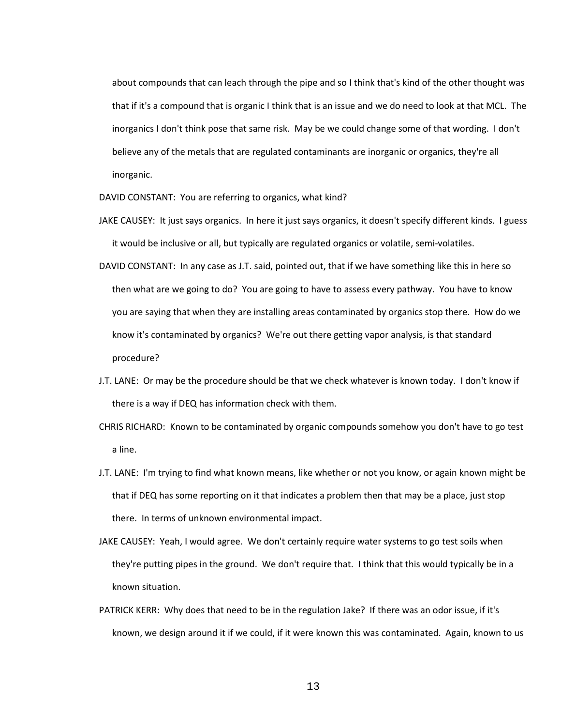about compounds that can leach through the pipe and so I think that's kind of the other thought was that if it's a compound that is organic I think that is an issue and we do need to look at that MCL. The inorganics I don't think pose that same risk. May be we could change some of that wording. I don't believe any of the metals that are regulated contaminants are inorganic or organics, they're all inorganic.

DAVID CONSTANT: You are referring to organics, what kind?

- JAKE CAUSEY: It just says organics. In here it just says organics, it doesn't specify different kinds. I guess it would be inclusive or all, but typically are regulated organics or volatile, semi-volatiles.
- DAVID CONSTANT: In any case as J.T. said, pointed out, that if we have something like this in here so then what are we going to do? You are going to have to assess every pathway. You have to know you are saying that when they are installing areas contaminated by organics stop there. How do we know it's contaminated by organics? We're out there getting vapor analysis, is that standard procedure?
- J.T. LANE: Or may be the procedure should be that we check whatever is known today. I don't know if there is a way if DEQ has information check with them.
- CHRIS RICHARD: Known to be contaminated by organic compounds somehow you don't have to go test a line.
- J.T. LANE: I'm trying to find what known means, like whether or not you know, or again known might be that if DEQ has some reporting on it that indicates a problem then that may be a place, just stop there. In terms of unknown environmental impact.
- JAKE CAUSEY: Yeah, I would agree. We don't certainly require water systems to go test soils when they're putting pipes in the ground. We don't require that. I think that this would typically be in a known situation.
- PATRICK KERR: Why does that need to be in the regulation Jake? If there was an odor issue, if it's known, we design around it if we could, if it were known this was contaminated. Again, known to us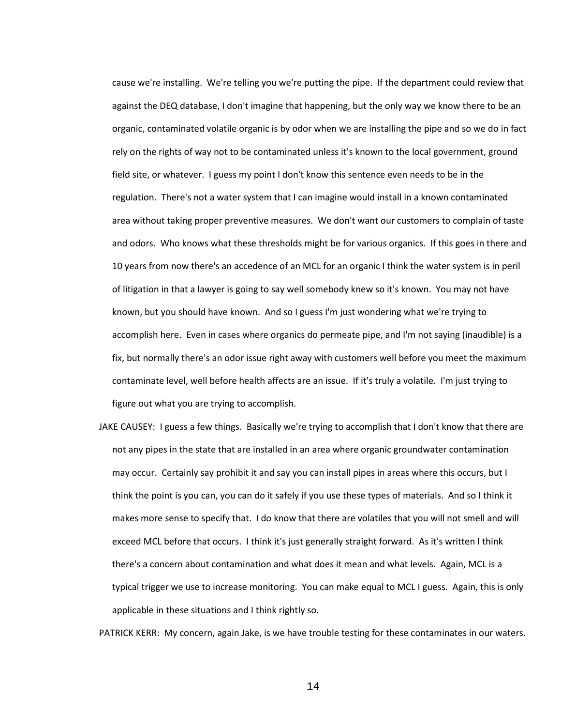cause we're installing. We're telling you we're putting the pipe. If the department could review that against the DEQ database, I don't imagine that happening, but the only way we know there to be an organic, contaminated volatile organic is by odor when we are installing the pipe and so we do in fact rely on the rights of way not to be contaminated unless it's known to the local government, ground field site, or whatever. I guess my point I don't know this sentence even needs to be in the regulation. There's not a water system that I can imagine would install in a known contaminated area without taking proper preventive measures. We don't want our customers to complain of taste and odors. Who knows what these thresholds might be for various organics. If this goes in there and 10 years from now there's an accedence of an MCL for an organic I think the water system is in peril of litigation in that a lawyer is going to say well somebody knew so it's known. You may not have known, but you should have known. And so I guess I'm just wondering what we're trying to accomplish here. Even in cases where organics do permeate pipe, and I'm not saying (inaudible) is a fix, but normally there's an odor issue right away with customers well before you meet the maximum contaminate level, well before health affects are an issue. If it's truly a volatile. I'm just trying to figure out what you are trying to accomplish.

JAKE CAUSEY: I guess a few things. Basically we're trying to accomplish that I don't know that there are not any pipes in the state that are installed in an area where organic groundwater contamination may occur. Certainly say prohibit it and say you can install pipes in areas where this occurs, but I think the point is you can, you can do it safely if you use these types of materials. And so I think it makes more sense to specify that. I do know that there are volatiles that you will not smell and will exceed MCL before that occurs. I think it's just generally straight forward. As it's written I think there's a concern about contamination and what does it mean and what levels. Again, MCL is a typical trigger we use to increase monitoring. You can make equal to MCL I guess. Again, this is only applicable in these situations and I think rightly so.

PATRICK KERR: My concern, again Jake, is we have trouble testing for these contaminates in our waters.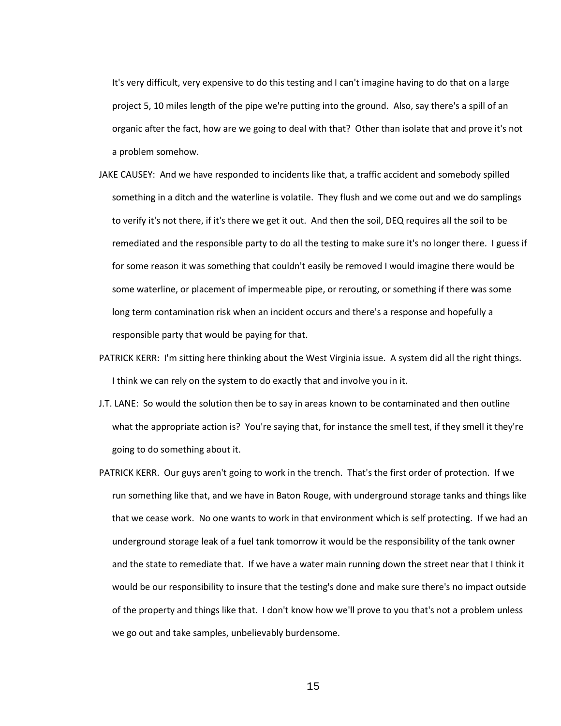It's very difficult, very expensive to do this testing and I can't imagine having to do that on a large project 5, 10 miles length of the pipe we're putting into the ground. Also, say there's a spill of an organic after the fact, how are we going to deal with that? Other than isolate that and prove it's not a problem somehow.

- JAKE CAUSEY: And we have responded to incidents like that, a traffic accident and somebody spilled something in a ditch and the waterline is volatile. They flush and we come out and we do samplings to verify it's not there, if it's there we get it out. And then the soil, DEQ requires all the soil to be remediated and the responsible party to do all the testing to make sure it's no longer there. I guess if for some reason it was something that couldn't easily be removed I would imagine there would be some waterline, or placement of impermeable pipe, or rerouting, or something if there was some long term contamination risk when an incident occurs and there's a response and hopefully a responsible party that would be paying for that.
- PATRICK KERR: I'm sitting here thinking about the West Virginia issue. A system did all the right things. I think we can rely on the system to do exactly that and involve you in it.
- J.T. LANE: So would the solution then be to say in areas known to be contaminated and then outline what the appropriate action is? You're saying that, for instance the smell test, if they smell it they're going to do something about it.
- PATRICK KERR. Our guys aren't going to work in the trench. That's the first order of protection. If we run something like that, and we have in Baton Rouge, with underground storage tanks and things like that we cease work. No one wants to work in that environment which is self protecting. If we had an underground storage leak of a fuel tank tomorrow it would be the responsibility of the tank owner and the state to remediate that. If we have a water main running down the street near that I think it would be our responsibility to insure that the testing's done and make sure there's no impact outside of the property and things like that. I don't know how we'll prove to you that's not a problem unless we go out and take samples, unbelievably burdensome.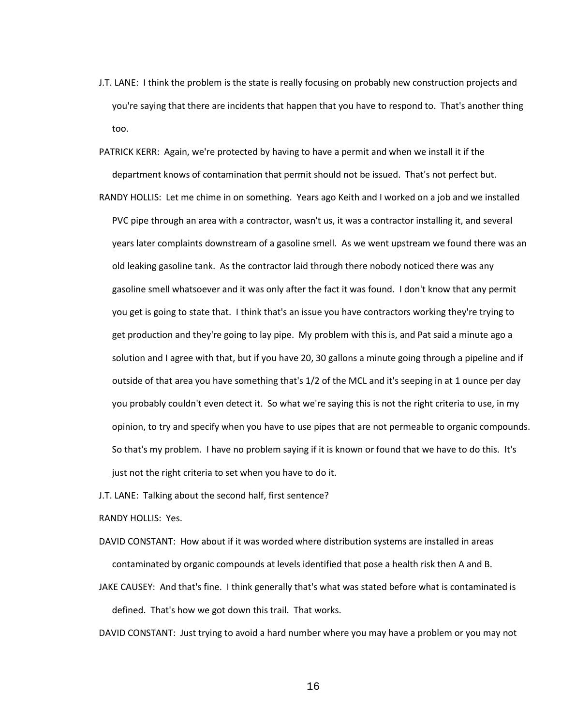- J.T. LANE: I think the problem is the state is really focusing on probably new construction projects and you're saying that there are incidents that happen that you have to respond to. That's another thing too.
- PATRICK KERR: Again, we're protected by having to have a permit and when we install it if the department knows of contamination that permit should not be issued. That's not perfect but.
- RANDY HOLLIS: Let me chime in on something. Years ago Keith and I worked on a job and we installed PVC pipe through an area with a contractor, wasn't us, it was a contractor installing it, and several years later complaints downstream of a gasoline smell. As we went upstream we found there was an old leaking gasoline tank. As the contractor laid through there nobody noticed there was any gasoline smell whatsoever and it was only after the fact it was found. I don't know that any permit you get is going to state that. I think that's an issue you have contractors working they're trying to get production and they're going to lay pipe. My problem with this is, and Pat said a minute ago a solution and I agree with that, but if you have 20, 30 gallons a minute going through a pipeline and if outside of that area you have something that's 1/2 of the MCL and it's seeping in at 1 ounce per day you probably couldn't even detect it. So what we're saying this is not the right criteria to use, in my opinion, to try and specify when you have to use pipes that are not permeable to organic compounds. So that's my problem. I have no problem saying if it is known or found that we have to do this. It's just not the right criteria to set when you have to do it.
- J.T. LANE: Talking about the second half, first sentence?

RANDY HOLLIS: Yes.

- DAVID CONSTANT: How about if it was worded where distribution systems are installed in areas contaminated by organic compounds at levels identified that pose a health risk then A and B.
- JAKE CAUSEY: And that's fine. I think generally that's what was stated before what is contaminated is defined. That's how we got down this trail. That works.

DAVID CONSTANT: Just trying to avoid a hard number where you may have a problem or you may not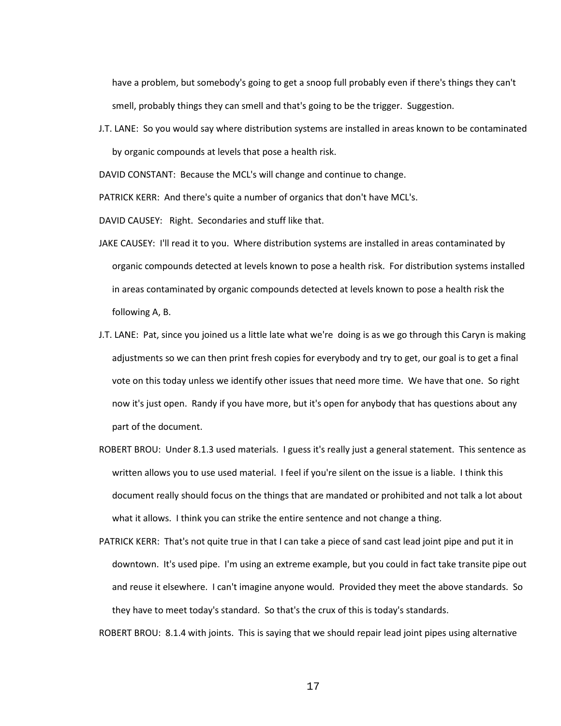have a problem, but somebody's going to get a snoop full probably even if there's things they can't smell, probably things they can smell and that's going to be the trigger. Suggestion.

J.T. LANE: So you would say where distribution systems are installed in areas known to be contaminated by organic compounds at levels that pose a health risk.

DAVID CONSTANT: Because the MCL's will change and continue to change.

PATRICK KERR: And there's quite a number of organics that don't have MCL's.

DAVID CAUSEY: Right. Secondaries and stuff like that.

- JAKE CAUSEY: I'll read it to you. Where distribution systems are installed in areas contaminated by organic compounds detected at levels known to pose a health risk. For distribution systems installed in areas contaminated by organic compounds detected at levels known to pose a health risk the following A, B.
- J.T. LANE: Pat, since you joined us a little late what we're doing is as we go through this Caryn is making adjustments so we can then print fresh copies for everybody and try to get, our goal is to get a final vote on this today unless we identify other issues that need more time. We have that one. So right now it's just open. Randy if you have more, but it's open for anybody that has questions about any part of the document.
- ROBERT BROU: Under 8.1.3 used materials. I guess it's really just a general statement. This sentence as written allows you to use used material. I feel if you're silent on the issue is a liable. I think this document really should focus on the things that are mandated or prohibited and not talk a lot about what it allows. I think you can strike the entire sentence and not change a thing.
- PATRICK KERR: That's not quite true in that I can take a piece of sand cast lead joint pipe and put it in downtown. It's used pipe. I'm using an extreme example, but you could in fact take transite pipe out and reuse it elsewhere. I can't imagine anyone would. Provided they meet the above standards. So they have to meet today's standard. So that's the crux of this is today's standards.

ROBERT BROU: 8.1.4 with joints. This is saying that we should repair lead joint pipes using alternative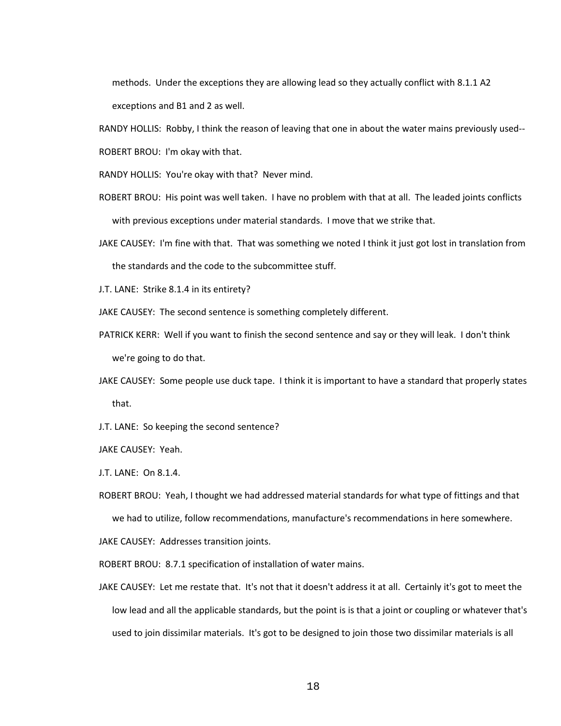methods. Under the exceptions they are allowing lead so they actually conflict with 8.1.1 A2 exceptions and B1 and 2 as well.

RANDY HOLLIS: Robby, I think the reason of leaving that one in about the water mains previously used--

ROBERT BROU: I'm okay with that.

RANDY HOLLIS: You're okay with that? Never mind.

- ROBERT BROU: His point was well taken. I have no problem with that at all. The leaded joints conflicts with previous exceptions under material standards. I move that we strike that.
- JAKE CAUSEY: I'm fine with that. That was something we noted I think it just got lost in translation from the standards and the code to the subcommittee stuff.

J.T. LANE: Strike 8.1.4 in its entirety?

JAKE CAUSEY: The second sentence is something completely different.

- PATRICK KERR: Well if you want to finish the second sentence and say or they will leak. I don't think we're going to do that.
- JAKE CAUSEY: Some people use duck tape. I think it is important to have a standard that properly states that.
- J.T. LANE: So keeping the second sentence?

JAKE CAUSEY: Yeah.

J.T. LANE: On 8.1.4.

ROBERT BROU: Yeah, I thought we had addressed material standards for what type of fittings and that

we had to utilize, follow recommendations, manufacture's recommendations in here somewhere.

JAKE CAUSEY: Addresses transition joints.

ROBERT BROU: 8.7.1 specification of installation of water mains.

JAKE CAUSEY: Let me restate that. It's not that it doesn't address it at all. Certainly it's got to meet the low lead and all the applicable standards, but the point is is that a joint or coupling or whatever that's used to join dissimilar materials. It's got to be designed to join those two dissimilar materials is all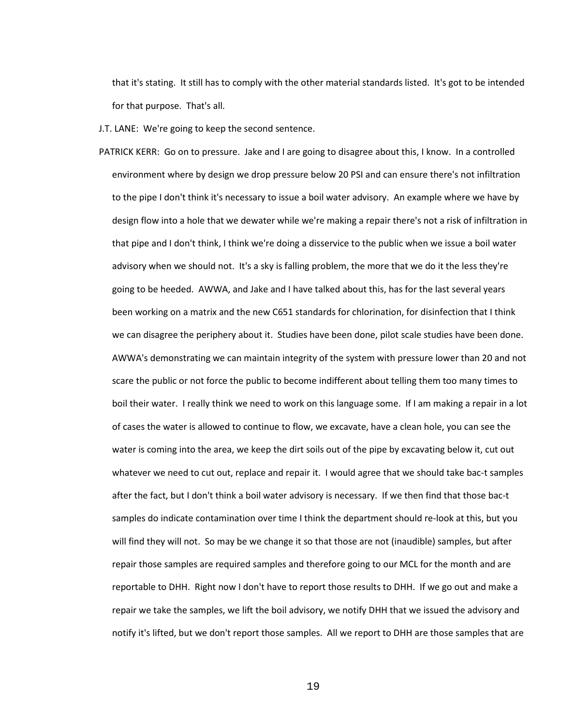that it's stating. It still has to comply with the other material standards listed. It's got to be intended for that purpose. That's all.

J.T. LANE: We're going to keep the second sentence.

PATRICK KERR: Go on to pressure. Jake and I are going to disagree about this, I know. In a controlled environment where by design we drop pressure below 20 PSI and can ensure there's not infiltration to the pipe I don't think it's necessary to issue a boil water advisory. An example where we have by design flow into a hole that we dewater while we're making a repair there's not a risk of infiltration in that pipe and I don't think, I think we're doing a disservice to the public when we issue a boil water advisory when we should not. It's a sky is falling problem, the more that we do it the less they're going to be heeded. AWWA, and Jake and I have talked about this, has for the last several years been working on a matrix and the new C651 standards for chlorination, for disinfection that I think we can disagree the periphery about it. Studies have been done, pilot scale studies have been done. AWWA's demonstrating we can maintain integrity of the system with pressure lower than 20 and not scare the public or not force the public to become indifferent about telling them too many times to boil their water. I really think we need to work on this language some. If I am making a repair in a lot of cases the water is allowed to continue to flow, we excavate, have a clean hole, you can see the water is coming into the area, we keep the dirt soils out of the pipe by excavating below it, cut out whatever we need to cut out, replace and repair it. I would agree that we should take bac-t samples after the fact, but I don't think a boil water advisory is necessary. If we then find that those bac-t samples do indicate contamination over time I think the department should re-look at this, but you will find they will not. So may be we change it so that those are not (inaudible) samples, but after repair those samples are required samples and therefore going to our MCL for the month and are reportable to DHH. Right now I don't have to report those results to DHH. If we go out and make a repair we take the samples, we lift the boil advisory, we notify DHH that we issued the advisory and notify it's lifted, but we don't report those samples. All we report to DHH are those samples that are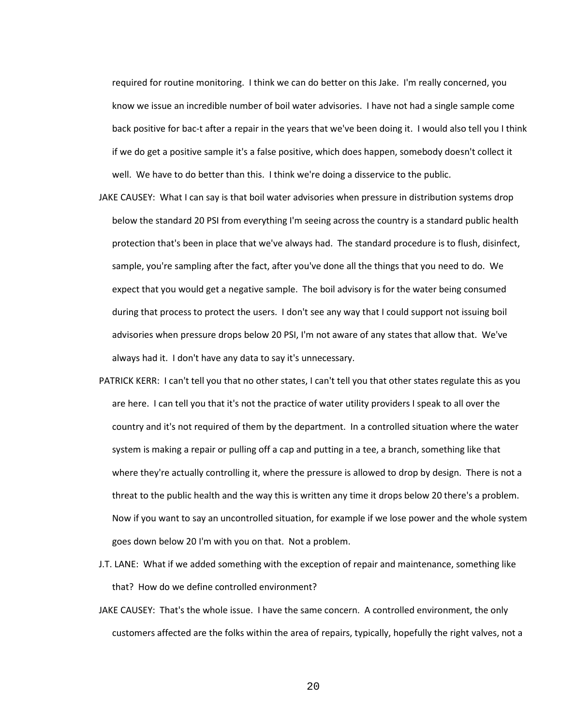required for routine monitoring. I think we can do better on this Jake. I'm really concerned, you know we issue an incredible number of boil water advisories. I have not had a single sample come back positive for bac-t after a repair in the years that we've been doing it. I would also tell you I think if we do get a positive sample it's a false positive, which does happen, somebody doesn't collect it well. We have to do better than this. I think we're doing a disservice to the public.

- JAKE CAUSEY: What I can say is that boil water advisories when pressure in distribution systems drop below the standard 20 PSI from everything I'm seeing across the country is a standard public health protection that's been in place that we've always had. The standard procedure is to flush, disinfect, sample, you're sampling after the fact, after you've done all the things that you need to do. We expect that you would get a negative sample. The boil advisory is for the water being consumed during that process to protect the users. I don't see any way that I could support not issuing boil advisories when pressure drops below 20 PSI, I'm not aware of any states that allow that. We've always had it. I don't have any data to say it's unnecessary.
- PATRICK KERR: I can't tell you that no other states, I can't tell you that other states regulate this as you are here. I can tell you that it's not the practice of water utility providers I speak to all over the country and it's not required of them by the department. In a controlled situation where the water system is making a repair or pulling off a cap and putting in a tee, a branch, something like that where they're actually controlling it, where the pressure is allowed to drop by design. There is not a threat to the public health and the way this is written any time it drops below 20 there's a problem. Now if you want to say an uncontrolled situation, for example if we lose power and the whole system goes down below 20 I'm with you on that. Not a problem.
- J.T. LANE: What if we added something with the exception of repair and maintenance, something like that? How do we define controlled environment?
- JAKE CAUSEY: That's the whole issue. I have the same concern. A controlled environment, the only customers affected are the folks within the area of repairs, typically, hopefully the right valves, not a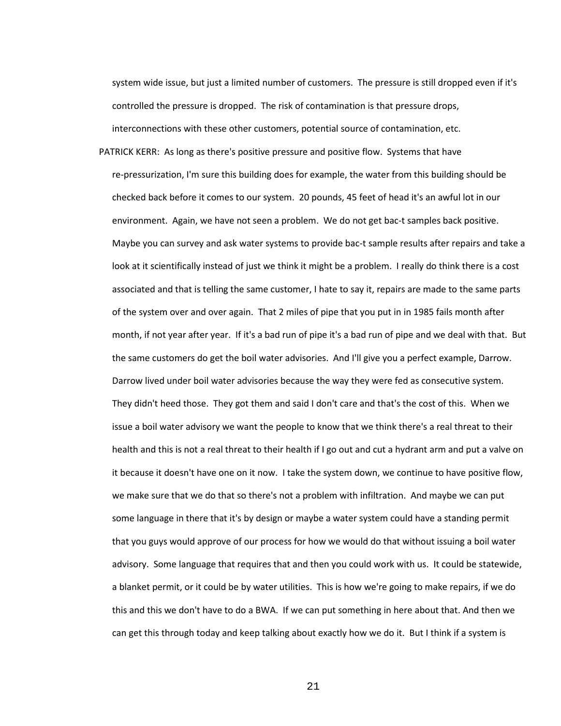system wide issue, but just a limited number of customers. The pressure is still dropped even if it's controlled the pressure is dropped. The risk of contamination is that pressure drops, interconnections with these other customers, potential source of contamination, etc.

PATRICK KERR: As long as there's positive pressure and positive flow. Systems that have re-pressurization, I'm sure this building does for example, the water from this building should be checked back before it comes to our system. 20 pounds, 45 feet of head it's an awful lot in our environment. Again, we have not seen a problem. We do not get bac-t samples back positive. Maybe you can survey and ask water systems to provide bac-t sample results after repairs and take a look at it scientifically instead of just we think it might be a problem. I really do think there is a cost associated and that is telling the same customer, I hate to say it, repairs are made to the same parts of the system over and over again. That 2 miles of pipe that you put in in 1985 fails month after month, if not year after year. If it's a bad run of pipe it's a bad run of pipe and we deal with that. But the same customers do get the boil water advisories. And I'll give you a perfect example, Darrow. Darrow lived under boil water advisories because the way they were fed as consecutive system. They didn't heed those. They got them and said I don't care and that's the cost of this. When we issue a boil water advisory we want the people to know that we think there's a real threat to their health and this is not a real threat to their health if I go out and cut a hydrant arm and put a valve on it because it doesn't have one on it now. I take the system down, we continue to have positive flow, we make sure that we do that so there's not a problem with infiltration. And maybe we can put some language in there that it's by design or maybe a water system could have a standing permit that you guys would approve of our process for how we would do that without issuing a boil water advisory. Some language that requires that and then you could work with us. It could be statewide, a blanket permit, or it could be by water utilities. This is how we're going to make repairs, if we do this and this we don't have to do a BWA. If we can put something in here about that. And then we can get this through today and keep talking about exactly how we do it. But I think if a system is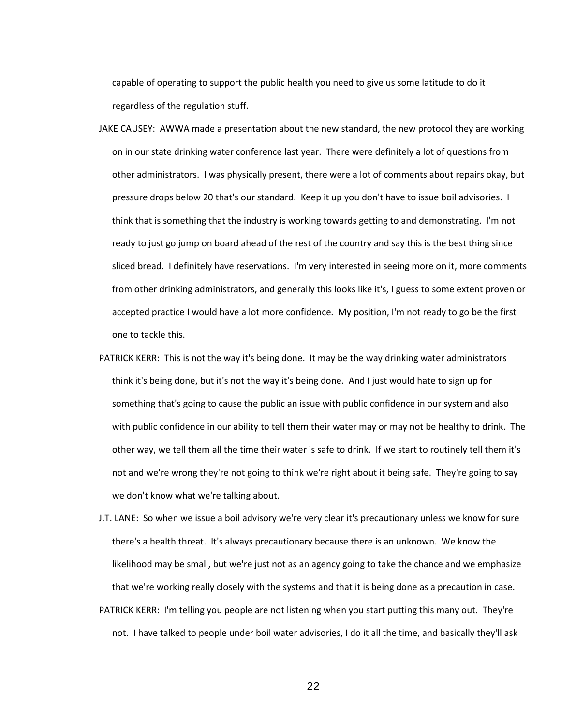capable of operating to support the public health you need to give us some latitude to do it regardless of the regulation stuff.

- JAKE CAUSEY: AWWA made a presentation about the new standard, the new protocol they are working on in our state drinking water conference last year. There were definitely a lot of questions from other administrators. I was physically present, there were a lot of comments about repairs okay, but pressure drops below 20 that's our standard. Keep it up you don't have to issue boil advisories. I think that is something that the industry is working towards getting to and demonstrating. I'm not ready to just go jump on board ahead of the rest of the country and say this is the best thing since sliced bread. I definitely have reservations. I'm very interested in seeing more on it, more comments from other drinking administrators, and generally this looks like it's, I guess to some extent proven or accepted practice I would have a lot more confidence. My position, I'm not ready to go be the first one to tackle this.
- PATRICK KERR: This is not the way it's being done. It may be the way drinking water administrators think it's being done, but it's not the way it's being done. And I just would hate to sign up for something that's going to cause the public an issue with public confidence in our system and also with public confidence in our ability to tell them their water may or may not be healthy to drink. The other way, we tell them all the time their water is safe to drink. If we start to routinely tell them it's not and we're wrong they're not going to think we're right about it being safe. They're going to say we don't know what we're talking about.
- J.T. LANE: So when we issue a boil advisory we're very clear it's precautionary unless we know for sure there's a health threat. It's always precautionary because there is an unknown. We know the likelihood may be small, but we're just not as an agency going to take the chance and we emphasize that we're working really closely with the systems and that it is being done as a precaution in case. PATRICK KERR: I'm telling you people are not listening when you start putting this many out. They're not. I have talked to people under boil water advisories, I do it all the time, and basically they'll ask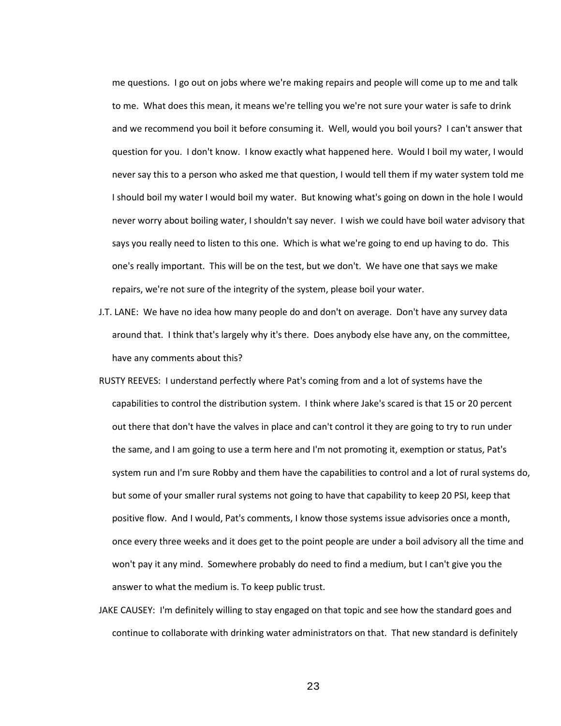me questions. I go out on jobs where we're making repairs and people will come up to me and talk to me. What does this mean, it means we're telling you we're not sure your water is safe to drink and we recommend you boil it before consuming it. Well, would you boil yours? I can't answer that question for you. I don't know. I know exactly what happened here. Would I boil my water, I would never say this to a person who asked me that question, I would tell them if my water system told me I should boil my water I would boil my water. But knowing what's going on down in the hole I would never worry about boiling water, I shouldn't say never. I wish we could have boil water advisory that says you really need to listen to this one. Which is what we're going to end up having to do. This one's really important. This will be on the test, but we don't. We have one that says we make repairs, we're not sure of the integrity of the system, please boil your water.

- J.T. LANE: We have no idea how many people do and don't on average. Don't have any survey data around that. I think that's largely why it's there. Does anybody else have any, on the committee, have any comments about this?
- RUSTY REEVES: I understand perfectly where Pat's coming from and a lot of systems have the capabilities to control the distribution system. I think where Jake's scared is that 15 or 20 percent out there that don't have the valves in place and can't control it they are going to try to run under the same, and I am going to use a term here and I'm not promoting it, exemption or status, Pat's system run and I'm sure Robby and them have the capabilities to control and a lot of rural systems do, but some of your smaller rural systems not going to have that capability to keep 20 PSI, keep that positive flow. And I would, Pat's comments, I know those systems issue advisories once a month, once every three weeks and it does get to the point people are under a boil advisory all the time and won't pay it any mind. Somewhere probably do need to find a medium, but I can't give you the answer to what the medium is. To keep public trust.
- JAKE CAUSEY: I'm definitely willing to stay engaged on that topic and see how the standard goes and continue to collaborate with drinking water administrators on that. That new standard is definitely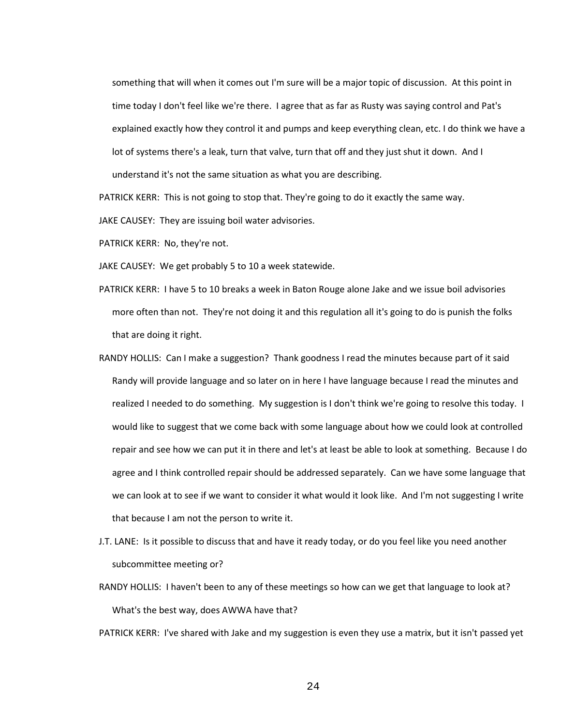something that will when it comes out I'm sure will be a major topic of discussion. At this point in time today I don't feel like we're there. I agree that as far as Rusty was saying control and Pat's explained exactly how they control it and pumps and keep everything clean, etc. I do think we have a lot of systems there's a leak, turn that valve, turn that off and they just shut it down. And I understand it's not the same situation as what you are describing.

PATRICK KERR: This is not going to stop that. They're going to do it exactly the same way.

JAKE CAUSEY: They are issuing boil water advisories.

PATRICK KERR: No, they're not.

JAKE CAUSEY: We get probably 5 to 10 a week statewide.

- PATRICK KERR: I have 5 to 10 breaks a week in Baton Rouge alone Jake and we issue boil advisories more often than not. They're not doing it and this regulation all it's going to do is punish the folks that are doing it right.
- RANDY HOLLIS: Can I make a suggestion? Thank goodness I read the minutes because part of it said Randy will provide language and so later on in here I have language because I read the minutes and realized I needed to do something. My suggestion is I don't think we're going to resolve this today. I would like to suggest that we come back with some language about how we could look at controlled repair and see how we can put it in there and let's at least be able to look at something. Because I do agree and I think controlled repair should be addressed separately. Can we have some language that we can look at to see if we want to consider it what would it look like. And I'm not suggesting I write that because I am not the person to write it.
- J.T. LANE: Is it possible to discuss that and have it ready today, or do you feel like you need another subcommittee meeting or?
- RANDY HOLLIS: I haven't been to any of these meetings so how can we get that language to look at? What's the best way, does AWWA have that?
- PATRICK KERR: I've shared with Jake and my suggestion is even they use a matrix, but it isn't passed yet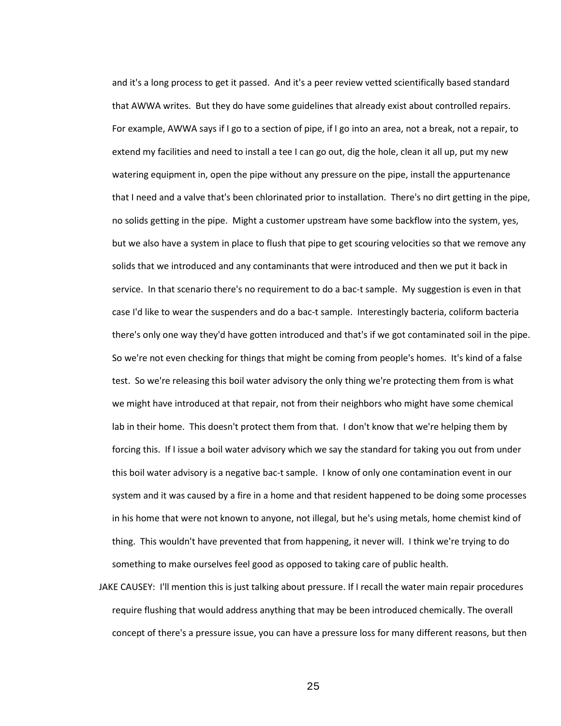and it's a long process to get it passed. And it's a peer review vetted scientifically based standard that AWWA writes. But they do have some guidelines that already exist about controlled repairs. For example, AWWA says if I go to a section of pipe, if I go into an area, not a break, not a repair, to extend my facilities and need to install a tee I can go out, dig the hole, clean it all up, put my new watering equipment in, open the pipe without any pressure on the pipe, install the appurtenance that I need and a valve that's been chlorinated prior to installation. There's no dirt getting in the pipe, no solids getting in the pipe. Might a customer upstream have some backflow into the system, yes, but we also have a system in place to flush that pipe to get scouring velocities so that we remove any solids that we introduced and any contaminants that were introduced and then we put it back in service. In that scenario there's no requirement to do a bac-t sample. My suggestion is even in that case I'd like to wear the suspenders and do a bac-t sample. Interestingly bacteria, coliform bacteria there's only one way they'd have gotten introduced and that's if we got contaminated soil in the pipe. So we're not even checking for things that might be coming from people's homes. It's kind of a false test. So we're releasing this boil water advisory the only thing we're protecting them from is what we might have introduced at that repair, not from their neighbors who might have some chemical lab in their home. This doesn't protect them from that. I don't know that we're helping them by forcing this. If I issue a boil water advisory which we say the standard for taking you out from under this boil water advisory is a negative bac-t sample. I know of only one contamination event in our system and it was caused by a fire in a home and that resident happened to be doing some processes in his home that were not known to anyone, not illegal, but he's using metals, home chemist kind of thing. This wouldn't have prevented that from happening, it never will. I think we're trying to do something to make ourselves feel good as opposed to taking care of public health.

JAKE CAUSEY: I'll mention this is just talking about pressure. If I recall the water main repair procedures require flushing that would address anything that may be been introduced chemically. The overall concept of there's a pressure issue, you can have a pressure loss for many different reasons, but then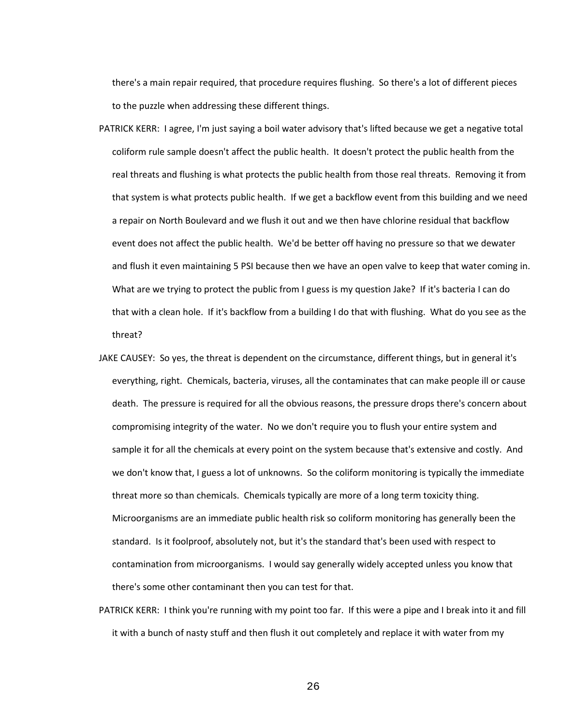there's a main repair required, that procedure requires flushing. So there's a lot of different pieces to the puzzle when addressing these different things.

- PATRICK KERR: I agree, I'm just saying a boil water advisory that's lifted because we get a negative total coliform rule sample doesn't affect the public health. It doesn't protect the public health from the real threats and flushing is what protects the public health from those real threats. Removing it from that system is what protects public health. If we get a backflow event from this building and we need a repair on North Boulevard and we flush it out and we then have chlorine residual that backflow event does not affect the public health. We'd be better off having no pressure so that we dewater and flush it even maintaining 5 PSI because then we have an open valve to keep that water coming in. What are we trying to protect the public from I guess is my question Jake? If it's bacteria I can do that with a clean hole. If it's backflow from a building I do that with flushing. What do you see as the threat?
- JAKE CAUSEY: So yes, the threat is dependent on the circumstance, different things, but in general it's everything, right. Chemicals, bacteria, viruses, all the contaminates that can make people ill or cause death. The pressure is required for all the obvious reasons, the pressure drops there's concern about compromising integrity of the water. No we don't require you to flush your entire system and sample it for all the chemicals at every point on the system because that's extensive and costly. And we don't know that, I guess a lot of unknowns. So the coliform monitoring is typically the immediate threat more so than chemicals. Chemicals typically are more of a long term toxicity thing. Microorganisms are an immediate public health risk so coliform monitoring has generally been the standard. Is it foolproof, absolutely not, but it's the standard that's been used with respect to contamination from microorganisms. I would say generally widely accepted unless you know that there's some other contaminant then you can test for that.
- PATRICK KERR: I think you're running with my point too far. If this were a pipe and I break into it and fill it with a bunch of nasty stuff and then flush it out completely and replace it with water from my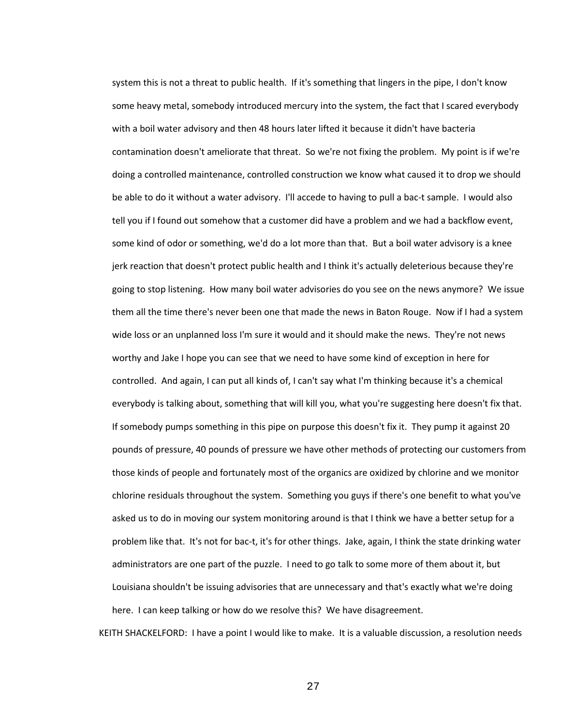system this is not a threat to public health. If it's something that lingers in the pipe, I don't know some heavy metal, somebody introduced mercury into the system, the fact that I scared everybody with a boil water advisory and then 48 hours later lifted it because it didn't have bacteria contamination doesn't ameliorate that threat. So we're not fixing the problem. My point is if we're doing a controlled maintenance, controlled construction we know what caused it to drop we should be able to do it without a water advisory. I'll accede to having to pull a bac-t sample. I would also tell you if I found out somehow that a customer did have a problem and we had a backflow event, some kind of odor or something, we'd do a lot more than that. But a boil water advisory is a knee jerk reaction that doesn't protect public health and I think it's actually deleterious because they're going to stop listening. How many boil water advisories do you see on the news anymore? We issue them all the time there's never been one that made the news in Baton Rouge. Now if I had a system wide loss or an unplanned loss I'm sure it would and it should make the news. They're not news worthy and Jake I hope you can see that we need to have some kind of exception in here for controlled. And again, I can put all kinds of, I can't say what I'm thinking because it's a chemical everybody is talking about, something that will kill you, what you're suggesting here doesn't fix that. If somebody pumps something in this pipe on purpose this doesn't fix it. They pump it against 20 pounds of pressure, 40 pounds of pressure we have other methods of protecting our customers from those kinds of people and fortunately most of the organics are oxidized by chlorine and we monitor chlorine residuals throughout the system. Something you guys if there's one benefit to what you've asked us to do in moving our system monitoring around is that I think we have a better setup for a problem like that. It's not for bac-t, it's for other things. Jake, again, I think the state drinking water administrators are one part of the puzzle. I need to go talk to some more of them about it, but Louisiana shouldn't be issuing advisories that are unnecessary and that's exactly what we're doing here. I can keep talking or how do we resolve this? We have disagreement.

KEITH SHACKELFORD: I have a point I would like to make. It is a valuable discussion, a resolution needs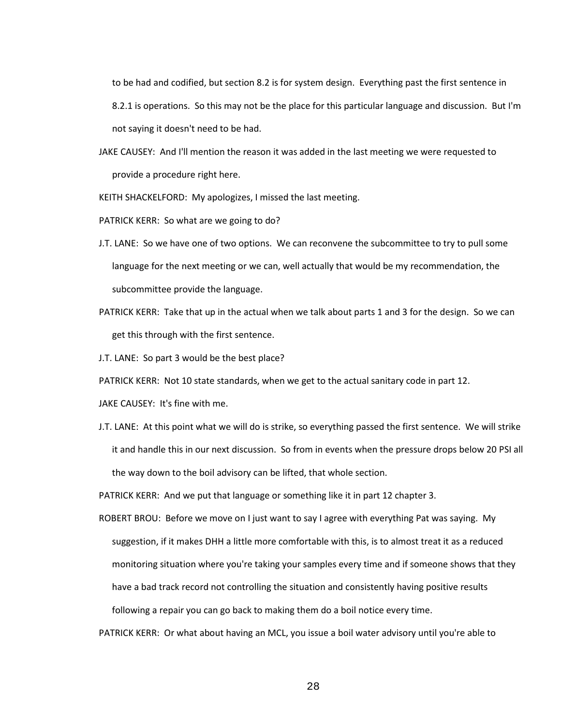to be had and codified, but section 8.2 is for system design. Everything past the first sentence in 8.2.1 is operations. So this may not be the place for this particular language and discussion. But I'm not saying it doesn't need to be had.

JAKE CAUSEY: And I'll mention the reason it was added in the last meeting we were requested to provide a procedure right here.

KEITH SHACKELFORD: My apologizes, I missed the last meeting.

PATRICK KERR: So what are we going to do?

- J.T. LANE: So we have one of two options. We can reconvene the subcommittee to try to pull some language for the next meeting or we can, well actually that would be my recommendation, the subcommittee provide the language.
- PATRICK KERR: Take that up in the actual when we talk about parts 1 and 3 for the design. So we can get this through with the first sentence.

J.T. LANE: So part 3 would be the best place?

PATRICK KERR: Not 10 state standards, when we get to the actual sanitary code in part 12.

JAKE CAUSEY: It's fine with me.

J.T. LANE: At this point what we will do is strike, so everything passed the first sentence. We will strike it and handle this in our next discussion. So from in events when the pressure drops below 20 PSI all the way down to the boil advisory can be lifted, that whole section.

PATRICK KERR: And we put that language or something like it in part 12 chapter 3.

ROBERT BROU: Before we move on I just want to say I agree with everything Pat was saying. My suggestion, if it makes DHH a little more comfortable with this, is to almost treat it as a reduced monitoring situation where you're taking your samples every time and if someone shows that they have a bad track record not controlling the situation and consistently having positive results following a repair you can go back to making them do a boil notice every time.

PATRICK KERR: Or what about having an MCL, you issue a boil water advisory until you're able to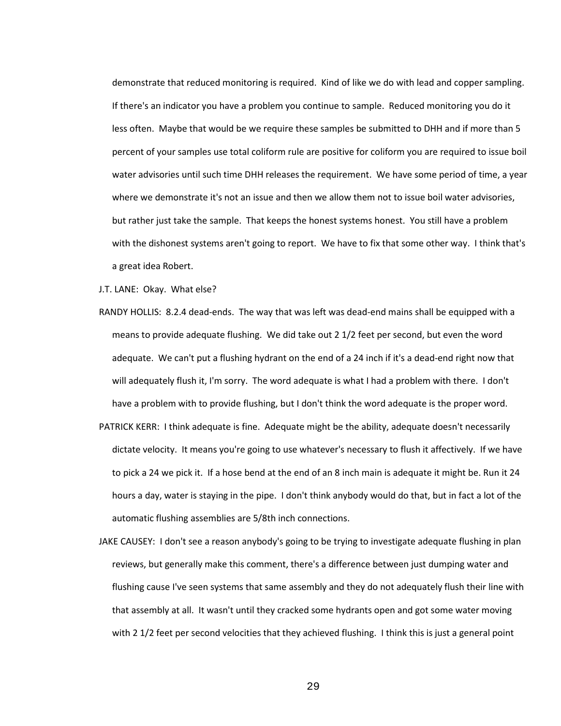demonstrate that reduced monitoring is required. Kind of like we do with lead and copper sampling. If there's an indicator you have a problem you continue to sample. Reduced monitoring you do it less often. Maybe that would be we require these samples be submitted to DHH and if more than 5 percent of your samples use total coliform rule are positive for coliform you are required to issue boil water advisories until such time DHH releases the requirement. We have some period of time, a year where we demonstrate it's not an issue and then we allow them not to issue boil water advisories, but rather just take the sample. That keeps the honest systems honest. You still have a problem with the dishonest systems aren't going to report. We have to fix that some other way. I think that's a great idea Robert.

J.T. LANE: Okay. What else?

- RANDY HOLLIS: 8.2.4 dead-ends. The way that was left was dead-end mains shall be equipped with a means to provide adequate flushing. We did take out 2 1/2 feet per second, but even the word adequate. We can't put a flushing hydrant on the end of a 24 inch if it's a dead-end right now that will adequately flush it, I'm sorry. The word adequate is what I had a problem with there. I don't have a problem with to provide flushing, but I don't think the word adequate is the proper word.
- PATRICK KERR: I think adequate is fine. Adequate might be the ability, adequate doesn't necessarily dictate velocity. It means you're going to use whatever's necessary to flush it affectively. If we have to pick a 24 we pick it. If a hose bend at the end of an 8 inch main is adequate it might be. Run it 24 hours a day, water is staying in the pipe. I don't think anybody would do that, but in fact a lot of the automatic flushing assemblies are 5/8th inch connections.
- JAKE CAUSEY: I don't see a reason anybody's going to be trying to investigate adequate flushing in plan reviews, but generally make this comment, there's a difference between just dumping water and flushing cause I've seen systems that same assembly and they do not adequately flush their line with that assembly at all. It wasn't until they cracked some hydrants open and got some water moving with 2 1/2 feet per second velocities that they achieved flushing. I think this is just a general point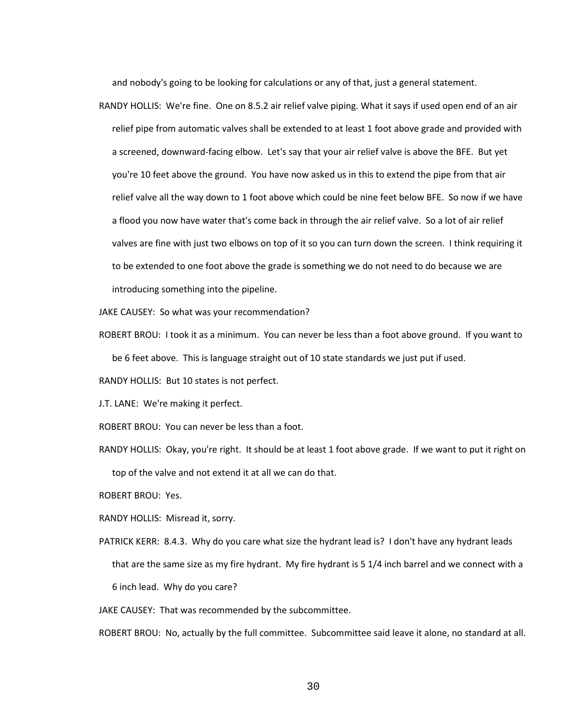and nobody's going to be looking for calculations or any of that, just a general statement.

RANDY HOLLIS: We're fine. One on 8.5.2 air relief valve piping. What it says if used open end of an air relief pipe from automatic valves shall be extended to at least 1 foot above grade and provided with a screened, downward-facing elbow. Let's say that your air relief valve is above the BFE. But yet you're 10 feet above the ground. You have now asked us in this to extend the pipe from that air relief valve all the way down to 1 foot above which could be nine feet below BFE. So now if we have a flood you now have water that's come back in through the air relief valve. So a lot of air relief valves are fine with just two elbows on top of it so you can turn down the screen. I think requiring it to be extended to one foot above the grade is something we do not need to do because we are introducing something into the pipeline.

JAKE CAUSEY: So what was your recommendation?

ROBERT BROU: I took it as a minimum. You can never be less than a foot above ground. If you want to be 6 feet above. This is language straight out of 10 state standards we just put if used.

RANDY HOLLIS: But 10 states is not perfect.

J.T. LANE: We're making it perfect.

- ROBERT BROU: You can never be less than a foot.
- RANDY HOLLIS: Okay, you're right. It should be at least 1 foot above grade. If we want to put it right on top of the valve and not extend it at all we can do that.

ROBERT BROU: Yes.

RANDY HOLLIS: Misread it, sorry.

PATRICK KERR: 8.4.3. Why do you care what size the hydrant lead is? I don't have any hydrant leads that are the same size as my fire hydrant. My fire hydrant is 5 1/4 inch barrel and we connect with a 6 inch lead. Why do you care?

JAKE CAUSEY: That was recommended by the subcommittee.

ROBERT BROU: No, actually by the full committee. Subcommittee said leave it alone, no standard at all.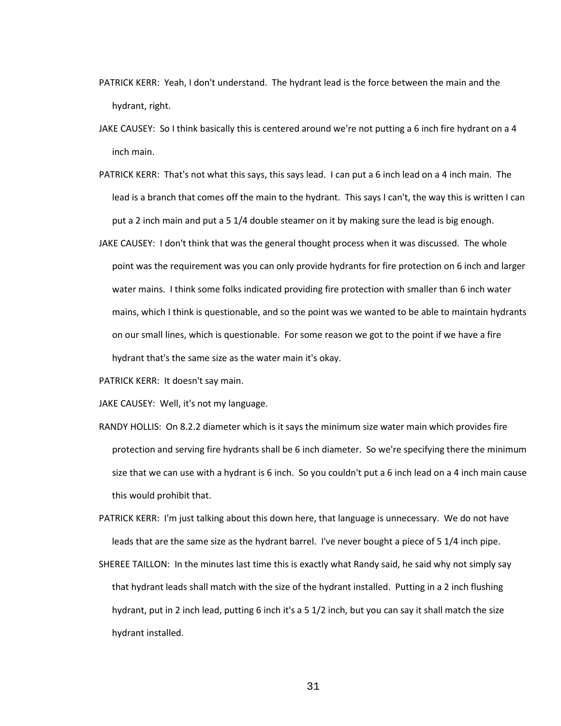- PATRICK KERR: Yeah, I don't understand. The hydrant lead is the force between the main and the hydrant, right.
- JAKE CAUSEY: So I think basically this is centered around we're not putting a 6 inch fire hydrant on a 4 inch main.
- PATRICK KERR: That's not what this says, this says lead. I can put a 6 inch lead on a 4 inch main. The lead is a branch that comes off the main to the hydrant. This says I can't, the way this is written I can put a 2 inch main and put a 5 1/4 double steamer on it by making sure the lead is big enough.
- JAKE CAUSEY: I don't think that was the general thought process when it was discussed. The whole point was the requirement was you can only provide hydrants for fire protection on 6 inch and larger water mains. I think some folks indicated providing fire protection with smaller than 6 inch water mains, which I think is questionable, and so the point was we wanted to be able to maintain hydrants on our small lines, which is questionable. For some reason we got to the point if we have a fire hydrant that's the same size as the water main it's okay.
- PATRICK KERR: It doesn't say main.
- JAKE CAUSEY: Well, it's not my language.
- RANDY HOLLIS: On 8.2.2 diameter which is it says the minimum size water main which provides fire protection and serving fire hydrants shall be 6 inch diameter. So we're specifying there the minimum size that we can use with a hydrant is 6 inch. So you couldn't put a 6 inch lead on a 4 inch main cause this would prohibit that.
- PATRICK KERR: I'm just talking about this down here, that language is unnecessary. We do not have leads that are the same size as the hydrant barrel. I've never bought a piece of 5 1/4 inch pipe.
- SHEREE TAILLON: In the minutes last time this is exactly what Randy said, he said why not simply say that hydrant leads shall match with the size of the hydrant installed. Putting in a 2 inch flushing hydrant, put in 2 inch lead, putting 6 inch it's a 5 1/2 inch, but you can say it shall match the size hydrant installed.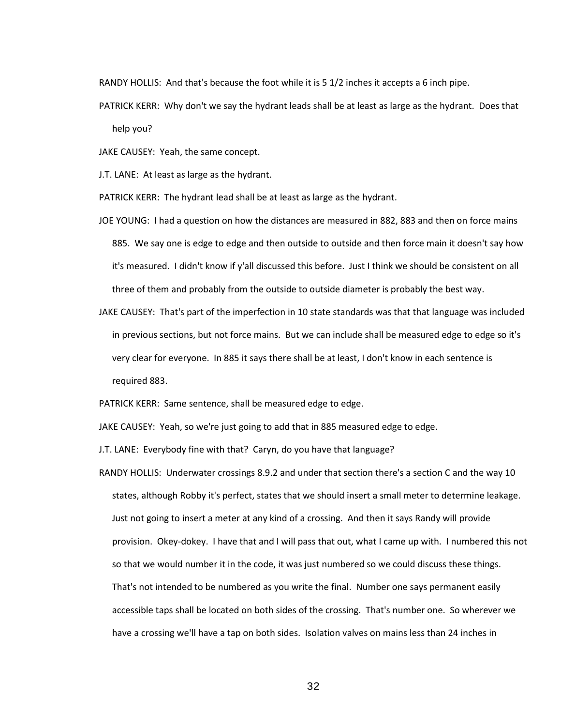RANDY HOLLIS: And that's because the foot while it is 5 1/2 inches it accepts a 6 inch pipe.

PATRICK KERR: Why don't we say the hydrant leads shall be at least as large as the hydrant. Does that help you?

JAKE CAUSEY: Yeah, the same concept.

J.T. LANE: At least as large as the hydrant.

PATRICK KERR: The hydrant lead shall be at least as large as the hydrant.

- JOE YOUNG: I had a question on how the distances are measured in 882, 883 and then on force mains 885. We say one is edge to edge and then outside to outside and then force main it doesn't say how it's measured. I didn't know if y'all discussed this before. Just I think we should be consistent on all three of them and probably from the outside to outside diameter is probably the best way.
- JAKE CAUSEY: That's part of the imperfection in 10 state standards was that that language was included in previous sections, but not force mains. But we can include shall be measured edge to edge so it's very clear for everyone. In 885 it says there shall be at least, I don't know in each sentence is required 883.

PATRICK KERR: Same sentence, shall be measured edge to edge.

JAKE CAUSEY: Yeah, so we're just going to add that in 885 measured edge to edge.

J.T. LANE: Everybody fine with that? Caryn, do you have that language?

RANDY HOLLIS: Underwater crossings 8.9.2 and under that section there's a section C and the way 10 states, although Robby it's perfect, states that we should insert a small meter to determine leakage. Just not going to insert a meter at any kind of a crossing. And then it says Randy will provide provision. Okey-dokey. I have that and I will pass that out, what I came up with. I numbered this not so that we would number it in the code, it was just numbered so we could discuss these things. That's not intended to be numbered as you write the final. Number one says permanent easily accessible taps shall be located on both sides of the crossing. That's number one. So wherever we have a crossing we'll have a tap on both sides. Isolation valves on mains less than 24 inches in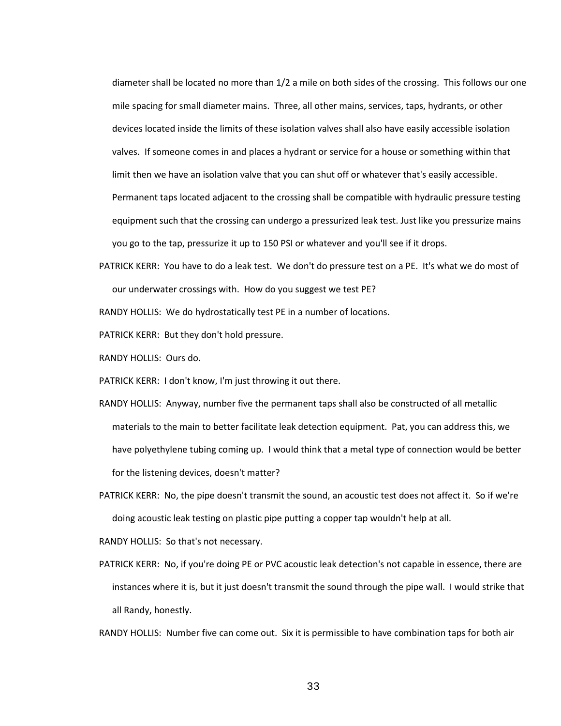diameter shall be located no more than 1/2 a mile on both sides of the crossing. This follows our one mile spacing for small diameter mains. Three, all other mains, services, taps, hydrants, or other devices located inside the limits of these isolation valves shall also have easily accessible isolation valves. If someone comes in and places a hydrant or service for a house or something within that limit then we have an isolation valve that you can shut off or whatever that's easily accessible. Permanent taps located adjacent to the crossing shall be compatible with hydraulic pressure testing equipment such that the crossing can undergo a pressurized leak test. Just like you pressurize mains you go to the tap, pressurize it up to 150 PSI or whatever and you'll see if it drops.

PATRICK KERR: You have to do a leak test. We don't do pressure test on a PE. It's what we do most of our underwater crossings with. How do you suggest we test PE?

RANDY HOLLIS: We do hydrostatically test PE in a number of locations.

PATRICK KERR: But they don't hold pressure.

RANDY HOLLIS: Ours do.

PATRICK KERR: I don't know, I'm just throwing it out there.

- RANDY HOLLIS: Anyway, number five the permanent taps shall also be constructed of all metallic materials to the main to better facilitate leak detection equipment. Pat, you can address this, we have polyethylene tubing coming up. I would think that a metal type of connection would be better for the listening devices, doesn't matter?
- PATRICK KERR: No, the pipe doesn't transmit the sound, an acoustic test does not affect it. So if we're doing acoustic leak testing on plastic pipe putting a copper tap wouldn't help at all.

RANDY HOLLIS: So that's not necessary.

PATRICK KERR: No, if you're doing PE or PVC acoustic leak detection's not capable in essence, there are instances where it is, but it just doesn't transmit the sound through the pipe wall. I would strike that all Randy, honestly.

RANDY HOLLIS: Number five can come out. Six it is permissible to have combination taps for both air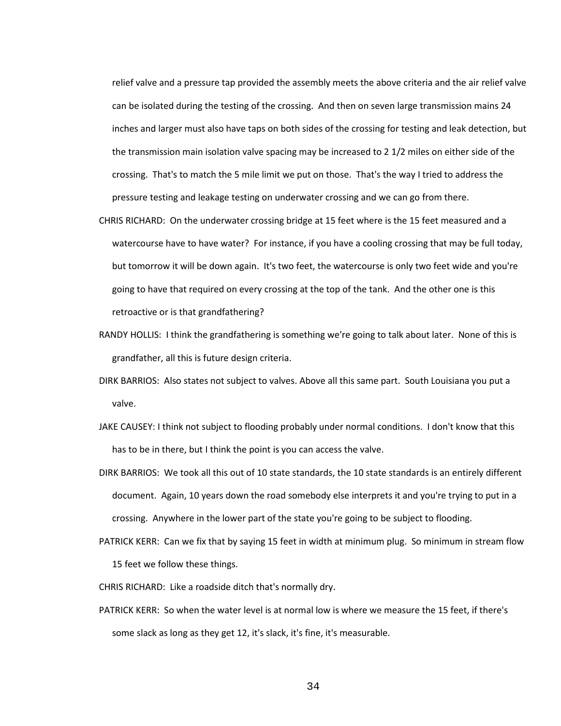relief valve and a pressure tap provided the assembly meets the above criteria and the air relief valve can be isolated during the testing of the crossing. And then on seven large transmission mains 24 inches and larger must also have taps on both sides of the crossing for testing and leak detection, but the transmission main isolation valve spacing may be increased to 2 1/2 miles on either side of the crossing. That's to match the 5 mile limit we put on those. That's the way I tried to address the pressure testing and leakage testing on underwater crossing and we can go from there.

- CHRIS RICHARD: On the underwater crossing bridge at 15 feet where is the 15 feet measured and a watercourse have to have water? For instance, if you have a cooling crossing that may be full today, but tomorrow it will be down again. It's two feet, the watercourse is only two feet wide and you're going to have that required on every crossing at the top of the tank. And the other one is this retroactive or is that grandfathering?
- RANDY HOLLIS: I think the grandfathering is something we're going to talk about later. None of this is grandfather, all this is future design criteria.
- DIRK BARRIOS: Also states not subject to valves. Above all this same part. South Louisiana you put a valve.
- JAKE CAUSEY: I think not subject to flooding probably under normal conditions. I don't know that this has to be in there, but I think the point is you can access the valve.
- DIRK BARRIOS: We took all this out of 10 state standards, the 10 state standards is an entirely different document. Again, 10 years down the road somebody else interprets it and you're trying to put in a crossing. Anywhere in the lower part of the state you're going to be subject to flooding.
- PATRICK KERR: Can we fix that by saying 15 feet in width at minimum plug. So minimum in stream flow 15 feet we follow these things.
- CHRIS RICHARD: Like a roadside ditch that's normally dry.
- PATRICK KERR: So when the water level is at normal low is where we measure the 15 feet, if there's some slack as long as they get 12, it's slack, it's fine, it's measurable.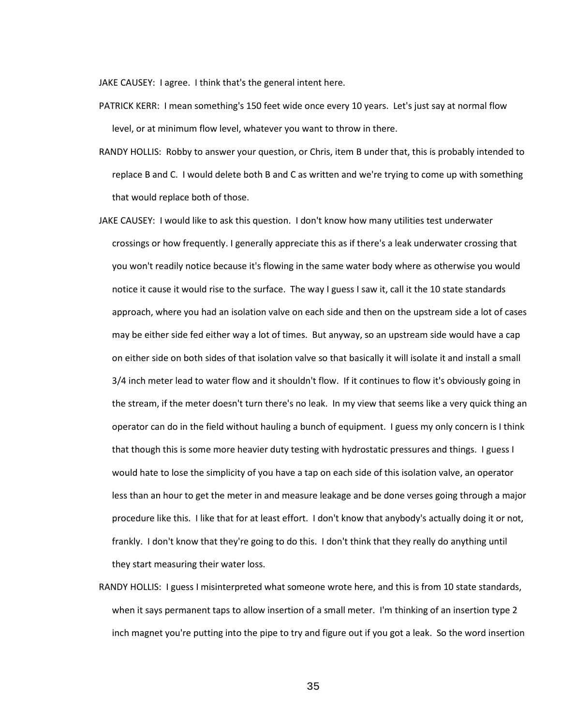JAKE CAUSEY: I agree. I think that's the general intent here.

- PATRICK KERR: I mean something's 150 feet wide once every 10 years. Let's just say at normal flow level, or at minimum flow level, whatever you want to throw in there.
- RANDY HOLLIS: Robby to answer your question, or Chris, item B under that, this is probably intended to replace B and C. I would delete both B and C as written and we're trying to come up with something that would replace both of those.
- JAKE CAUSEY: I would like to ask this question. I don't know how many utilities test underwater crossings or how frequently. I generally appreciate this as if there's a leak underwater crossing that you won't readily notice because it's flowing in the same water body where as otherwise you would notice it cause it would rise to the surface. The way I guess I saw it, call it the 10 state standards approach, where you had an isolation valve on each side and then on the upstream side a lot of cases may be either side fed either way a lot of times. But anyway, so an upstream side would have a cap on either side on both sides of that isolation valve so that basically it will isolate it and install a small 3/4 inch meter lead to water flow and it shouldn't flow. If it continues to flow it's obviously going in the stream, if the meter doesn't turn there's no leak. In my view that seems like a very quick thing an operator can do in the field without hauling a bunch of equipment. I guess my only concern is I think that though this is some more heavier duty testing with hydrostatic pressures and things. I guess I would hate to lose the simplicity of you have a tap on each side of this isolation valve, an operator less than an hour to get the meter in and measure leakage and be done verses going through a major procedure like this. I like that for at least effort. I don't know that anybody's actually doing it or not, frankly. I don't know that they're going to do this. I don't think that they really do anything until they start measuring their water loss.
- RANDY HOLLIS: I guess I misinterpreted what someone wrote here, and this is from 10 state standards, when it says permanent taps to allow insertion of a small meter. I'm thinking of an insertion type 2 inch magnet you're putting into the pipe to try and figure out if you got a leak. So the word insertion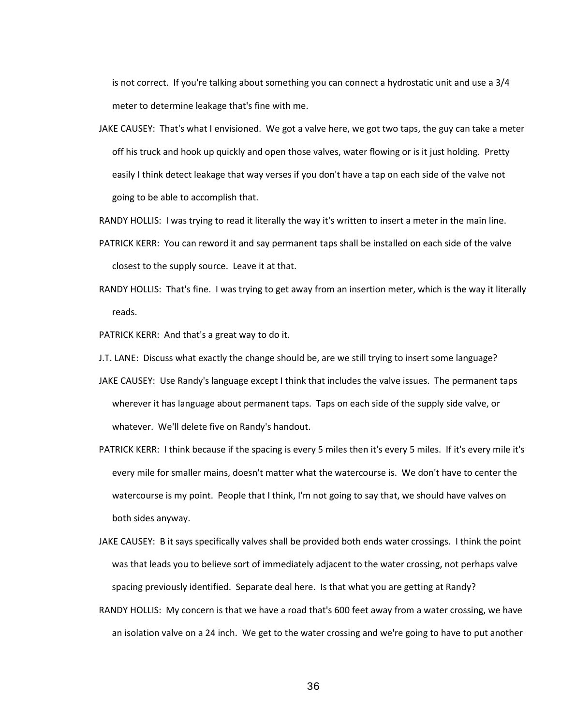is not correct. If you're talking about something you can connect a hydrostatic unit and use a 3/4 meter to determine leakage that's fine with me.

JAKE CAUSEY: That's what I envisioned. We got a valve here, we got two taps, the guy can take a meter off his truck and hook up quickly and open those valves, water flowing or is it just holding. Pretty easily I think detect leakage that way verses if you don't have a tap on each side of the valve not going to be able to accomplish that.

RANDY HOLLIS: I was trying to read it literally the way it's written to insert a meter in the main line.

- PATRICK KERR: You can reword it and say permanent taps shall be installed on each side of the valve closest to the supply source. Leave it at that.
- RANDY HOLLIS: That's fine. I was trying to get away from an insertion meter, which is the way it literally reads.

PATRICK KERR: And that's a great way to do it.

- J.T. LANE: Discuss what exactly the change should be, are we still trying to insert some language?
- JAKE CAUSEY: Use Randy's language except I think that includes the valve issues. The permanent taps wherever it has language about permanent taps. Taps on each side of the supply side valve, or whatever. We'll delete five on Randy's handout.
- PATRICK KERR: I think because if the spacing is every 5 miles then it's every 5 miles. If it's every mile it's every mile for smaller mains, doesn't matter what the watercourse is. We don't have to center the watercourse is my point. People that I think, I'm not going to say that, we should have valves on both sides anyway.
- JAKE CAUSEY: B it says specifically valves shall be provided both ends water crossings. I think the point was that leads you to believe sort of immediately adjacent to the water crossing, not perhaps valve spacing previously identified. Separate deal here. Is that what you are getting at Randy?
- RANDY HOLLIS: My concern is that we have a road that's 600 feet away from a water crossing, we have an isolation valve on a 24 inch. We get to the water crossing and we're going to have to put another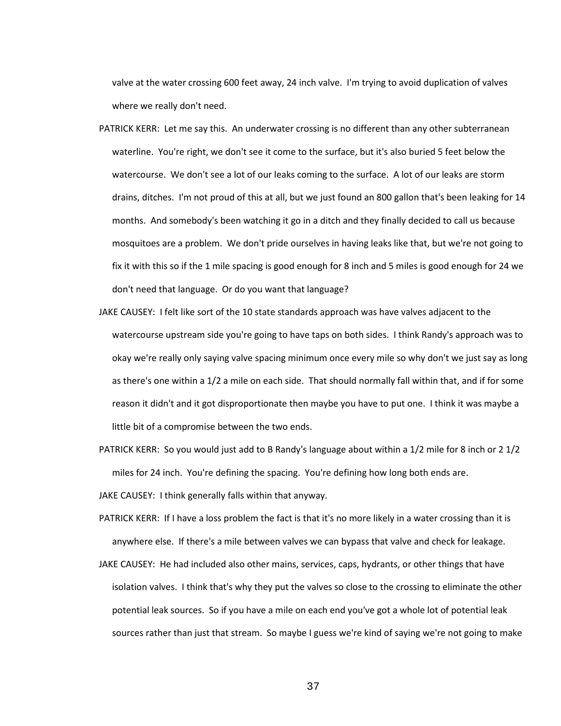valve at the water crossing 600 feet away, 24 inch valve. I'm trying to avoid duplication of valves where we really don't need.

- PATRICK KERR: Let me say this. An underwater crossing is no different than any other subterranean waterline. You're right, we don't see it come to the surface, but it's also buried 5 feet below the watercourse. We don't see a lot of our leaks coming to the surface. A lot of our leaks are storm drains, ditches. I'm not proud of this at all, but we just found an 800 gallon that's been leaking for 14 months. And somebody's been watching it go in a ditch and they finally decided to call us because mosquitoes are a problem. We don't pride ourselves in having leaks like that, but we're not going to fix it with this so if the 1 mile spacing is good enough for 8 inch and 5 miles is good enough for 24 we don't need that language. Or do you want that language?
- JAKE CAUSEY: I felt like sort of the 10 state standards approach was have valves adjacent to the watercourse upstream side you're going to have taps on both sides. I think Randy's approach was to okay we're really only saying valve spacing minimum once every mile so why don't we just say as long as there's one within a 1/2 a mile on each side. That should normally fall within that, and if for some reason it didn't and it got disproportionate then maybe you have to put one. I think it was maybe a little bit of a compromise between the two ends.
- PATRICK KERR: So you would just add to B Randy's language about within a 1/2 mile for 8 inch or 2 1/2 miles for 24 inch. You're defining the spacing. You're defining how long both ends are.

JAKE CAUSEY: I think generally falls within that anyway.

- PATRICK KERR: If I have a loss problem the fact is that it's no more likely in a water crossing than it is anywhere else. If there's a mile between valves we can bypass that valve and check for leakage.
- JAKE CAUSEY: He had included also other mains, services, caps, hydrants, or other things that have isolation valves. I think that's why they put the valves so close to the crossing to eliminate the other potential leak sources. So if you have a mile on each end you've got a whole lot of potential leak sources rather than just that stream. So maybe I guess we're kind of saying we're not going to make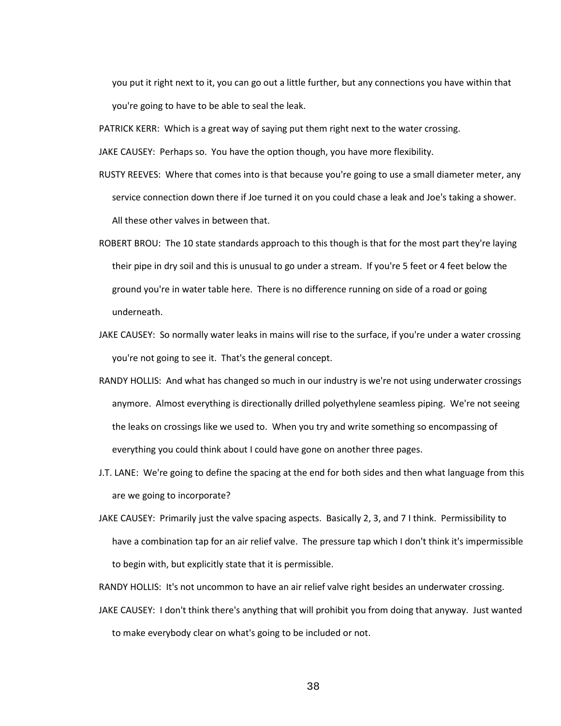you put it right next to it, you can go out a little further, but any connections you have within that you're going to have to be able to seal the leak.

PATRICK KERR: Which is a great way of saying put them right next to the water crossing.

JAKE CAUSEY: Perhaps so. You have the option though, you have more flexibility.

- RUSTY REEVES: Where that comes into is that because you're going to use a small diameter meter, any service connection down there if Joe turned it on you could chase a leak and Joe's taking a shower. All these other valves in between that.
- ROBERT BROU: The 10 state standards approach to this though is that for the most part they're laying their pipe in dry soil and this is unusual to go under a stream. If you're 5 feet or 4 feet below the ground you're in water table here. There is no difference running on side of a road or going underneath.
- JAKE CAUSEY: So normally water leaks in mains will rise to the surface, if you're under a water crossing you're not going to see it. That's the general concept.
- RANDY HOLLIS: And what has changed so much in our industry is we're not using underwater crossings anymore. Almost everything is directionally drilled polyethylene seamless piping. We're not seeing the leaks on crossings like we used to. When you try and write something so encompassing of everything you could think about I could have gone on another three pages.
- J.T. LANE: We're going to define the spacing at the end for both sides and then what language from this are we going to incorporate?
- JAKE CAUSEY: Primarily just the valve spacing aspects. Basically 2, 3, and 7 I think. Permissibility to have a combination tap for an air relief valve. The pressure tap which I don't think it's impermissible to begin with, but explicitly state that it is permissible.

RANDY HOLLIS: It's not uncommon to have an air relief valve right besides an underwater crossing.

JAKE CAUSEY: I don't think there's anything that will prohibit you from doing that anyway. Just wanted to make everybody clear on what's going to be included or not.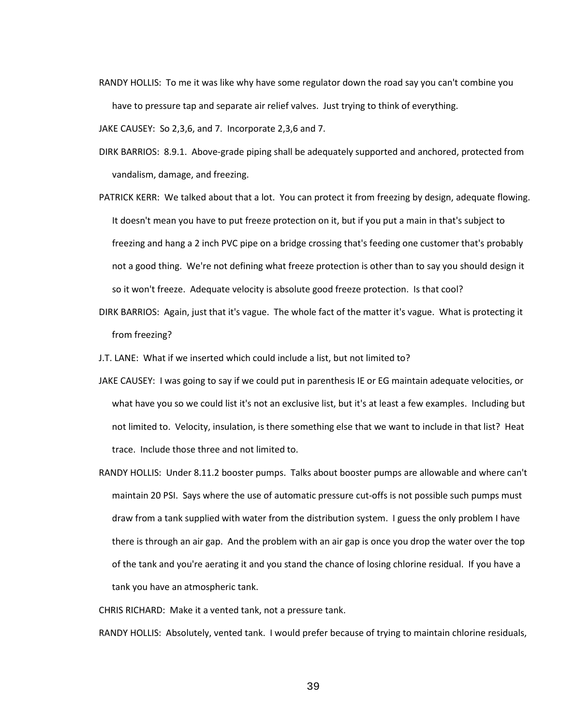RANDY HOLLIS: To me it was like why have some regulator down the road say you can't combine you have to pressure tap and separate air relief valves. Just trying to think of everything.

JAKE CAUSEY: So 2,3,6, and 7. Incorporate 2,3,6 and 7.

- DIRK BARRIOS: 8.9.1. Above-grade piping shall be adequately supported and anchored, protected from vandalism, damage, and freezing.
- PATRICK KERR: We talked about that a lot. You can protect it from freezing by design, adequate flowing. It doesn't mean you have to put freeze protection on it, but if you put a main in that's subject to freezing and hang a 2 inch PVC pipe on a bridge crossing that's feeding one customer that's probably not a good thing. We're not defining what freeze protection is other than to say you should design it so it won't freeze. Adequate velocity is absolute good freeze protection. Is that cool?
- DIRK BARRIOS: Again, just that it's vague. The whole fact of the matter it's vague. What is protecting it from freezing?
- J.T. LANE: What if we inserted which could include a list, but not limited to?
- JAKE CAUSEY: I was going to say if we could put in parenthesis IE or EG maintain adequate velocities, or what have you so we could list it's not an exclusive list, but it's at least a few examples. Including but not limited to. Velocity, insulation, is there something else that we want to include in that list? Heat trace. Include those three and not limited to.
- RANDY HOLLIS: Under 8.11.2 booster pumps. Talks about booster pumps are allowable and where can't maintain 20 PSI. Says where the use of automatic pressure cut-offs is not possible such pumps must draw from a tank supplied with water from the distribution system. I guess the only problem I have there is through an air gap. And the problem with an air gap is once you drop the water over the top of the tank and you're aerating it and you stand the chance of losing chlorine residual. If you have a tank you have an atmospheric tank.

CHRIS RICHARD: Make it a vented tank, not a pressure tank.

RANDY HOLLIS: Absolutely, vented tank. I would prefer because of trying to maintain chlorine residuals,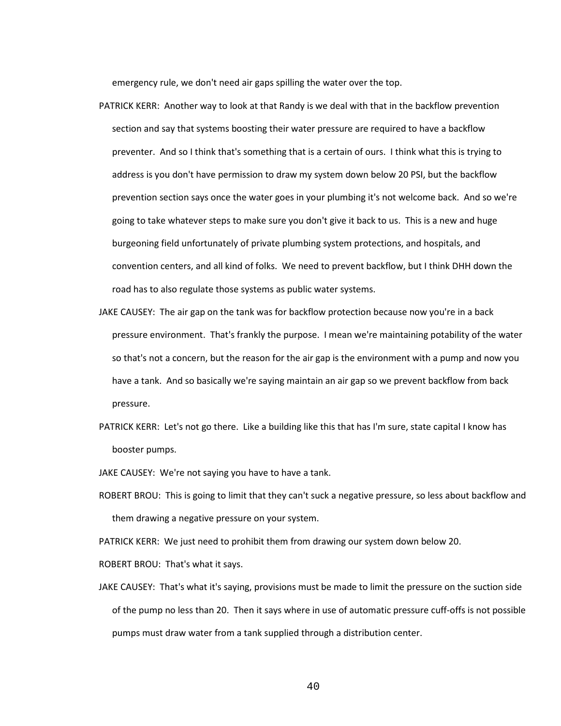emergency rule, we don't need air gaps spilling the water over the top.

- PATRICK KERR: Another way to look at that Randy is we deal with that in the backflow prevention section and say that systems boosting their water pressure are required to have a backflow preventer. And so I think that's something that is a certain of ours. I think what this is trying to address is you don't have permission to draw my system down below 20 PSI, but the backflow prevention section says once the water goes in your plumbing it's not welcome back. And so we're going to take whatever steps to make sure you don't give it back to us. This is a new and huge burgeoning field unfortunately of private plumbing system protections, and hospitals, and convention centers, and all kind of folks. We need to prevent backflow, but I think DHH down the road has to also regulate those systems as public water systems.
- JAKE CAUSEY: The air gap on the tank was for backflow protection because now you're in a back pressure environment. That's frankly the purpose. I mean we're maintaining potability of the water so that's not a concern, but the reason for the air gap is the environment with a pump and now you have a tank. And so basically we're saying maintain an air gap so we prevent backflow from back pressure.
- PATRICK KERR: Let's not go there. Like a building like this that has I'm sure, state capital I know has booster pumps.
- JAKE CAUSEY: We're not saying you have to have a tank.
- ROBERT BROU: This is going to limit that they can't suck a negative pressure, so less about backflow and them drawing a negative pressure on your system.

PATRICK KERR: We just need to prohibit them from drawing our system down below 20.

ROBERT BROU: That's what it says.

JAKE CAUSEY: That's what it's saying, provisions must be made to limit the pressure on the suction side of the pump no less than 20. Then it says where in use of automatic pressure cuff-offs is not possible pumps must draw water from a tank supplied through a distribution center.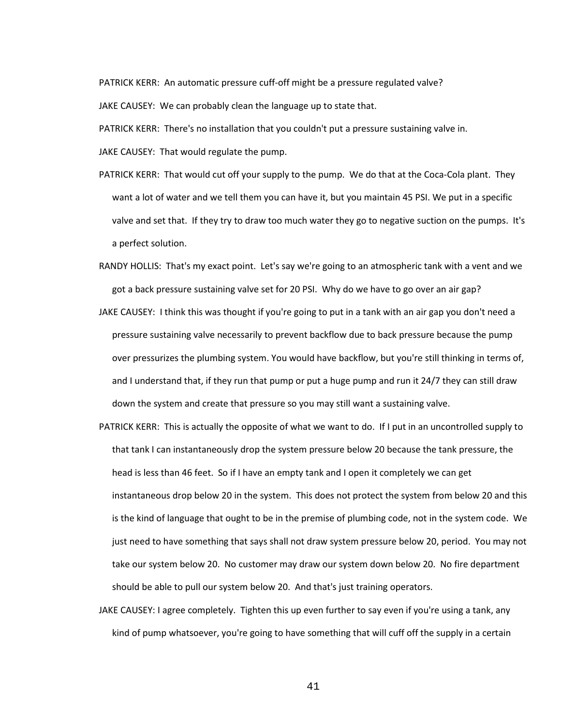PATRICK KERR: An automatic pressure cuff-off might be a pressure regulated valve? JAKE CAUSEY: We can probably clean the language up to state that.

PATRICK KERR: There's no installation that you couldn't put a pressure sustaining valve in.

JAKE CAUSEY: That would regulate the pump.

- PATRICK KERR: That would cut off your supply to the pump. We do that at the Coca-Cola plant. They want a lot of water and we tell them you can have it, but you maintain 45 PSI. We put in a specific valve and set that. If they try to draw too much water they go to negative suction on the pumps. It's a perfect solution.
- RANDY HOLLIS: That's my exact point. Let's say we're going to an atmospheric tank with a vent and we got a back pressure sustaining valve set for 20 PSI. Why do we have to go over an air gap?
- JAKE CAUSEY: I think this was thought if you're going to put in a tank with an air gap you don't need a pressure sustaining valve necessarily to prevent backflow due to back pressure because the pump over pressurizes the plumbing system. You would have backflow, but you're still thinking in terms of, and I understand that, if they run that pump or put a huge pump and run it 24/7 they can still draw down the system and create that pressure so you may still want a sustaining valve.
- PATRICK KERR: This is actually the opposite of what we want to do. If I put in an uncontrolled supply to that tank I can instantaneously drop the system pressure below 20 because the tank pressure, the head is less than 46 feet. So if I have an empty tank and I open it completely we can get instantaneous drop below 20 in the system. This does not protect the system from below 20 and this is the kind of language that ought to be in the premise of plumbing code, not in the system code. We just need to have something that says shall not draw system pressure below 20, period. You may not take our system below 20. No customer may draw our system down below 20. No fire department should be able to pull our system below 20. And that's just training operators.
- JAKE CAUSEY: I agree completely. Tighten this up even further to say even if you're using a tank, any kind of pump whatsoever, you're going to have something that will cuff off the supply in a certain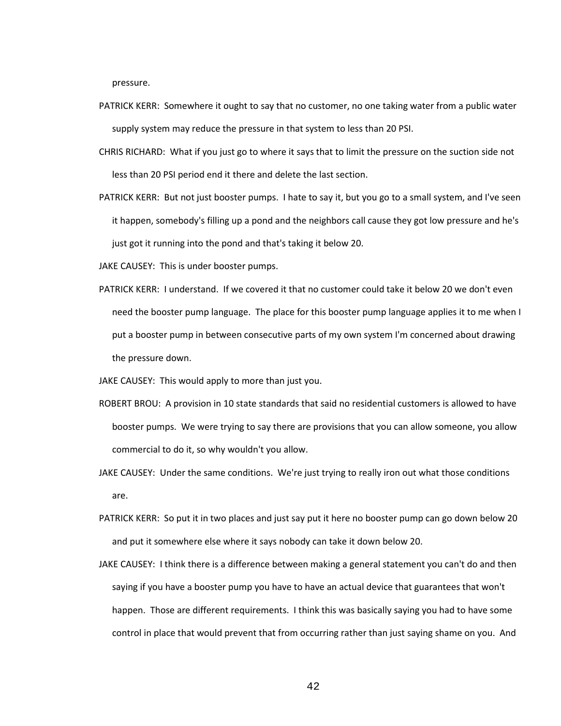pressure.

- PATRICK KERR: Somewhere it ought to say that no customer, no one taking water from a public water supply system may reduce the pressure in that system to less than 20 PSI.
- CHRIS RICHARD: What if you just go to where it says that to limit the pressure on the suction side not less than 20 PSI period end it there and delete the last section.
- PATRICK KERR: But not just booster pumps. I hate to say it, but you go to a small system, and I've seen it happen, somebody's filling up a pond and the neighbors call cause they got low pressure and he's just got it running into the pond and that's taking it below 20.
- JAKE CAUSEY: This is under booster pumps.
- PATRICK KERR: I understand. If we covered it that no customer could take it below 20 we don't even need the booster pump language. The place for this booster pump language applies it to me when I put a booster pump in between consecutive parts of my own system I'm concerned about drawing the pressure down.
- JAKE CAUSEY: This would apply to more than just you.
- ROBERT BROU: A provision in 10 state standards that said no residential customers is allowed to have booster pumps. We were trying to say there are provisions that you can allow someone, you allow commercial to do it, so why wouldn't you allow.
- JAKE CAUSEY: Under the same conditions. We're just trying to really iron out what those conditions are.
- PATRICK KERR: So put it in two places and just say put it here no booster pump can go down below 20 and put it somewhere else where it says nobody can take it down below 20.
- JAKE CAUSEY: I think there is a difference between making a general statement you can't do and then saying if you have a booster pump you have to have an actual device that guarantees that won't happen. Those are different requirements. I think this was basically saying you had to have some control in place that would prevent that from occurring rather than just saying shame on you. And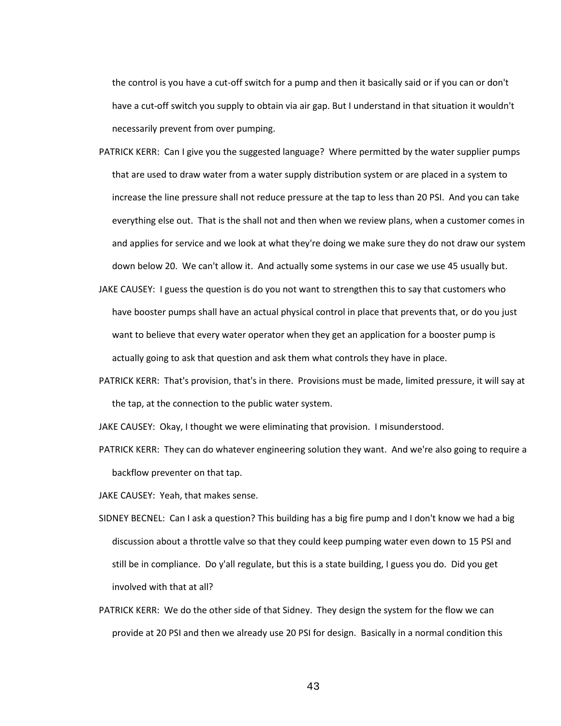the control is you have a cut-off switch for a pump and then it basically said or if you can or don't have a cut-off switch you supply to obtain via air gap. But I understand in that situation it wouldn't necessarily prevent from over pumping.

- PATRICK KERR: Can I give you the suggested language? Where permitted by the water supplier pumps that are used to draw water from a water supply distribution system or are placed in a system to increase the line pressure shall not reduce pressure at the tap to less than 20 PSI. And you can take everything else out. That is the shall not and then when we review plans, when a customer comes in and applies for service and we look at what they're doing we make sure they do not draw our system down below 20. We can't allow it. And actually some systems in our case we use 45 usually but.
- JAKE CAUSEY: I guess the question is do you not want to strengthen this to say that customers who have booster pumps shall have an actual physical control in place that prevents that, or do you just want to believe that every water operator when they get an application for a booster pump is actually going to ask that question and ask them what controls they have in place.
- PATRICK KERR: That's provision, that's in there. Provisions must be made, limited pressure, it will say at the tap, at the connection to the public water system.
- JAKE CAUSEY: Okay, I thought we were eliminating that provision. I misunderstood.
- PATRICK KERR: They can do whatever engineering solution they want. And we're also going to require a backflow preventer on that tap.
- JAKE CAUSEY: Yeah, that makes sense.
- SIDNEY BECNEL: Can I ask a question? This building has a big fire pump and I don't know we had a big discussion about a throttle valve so that they could keep pumping water even down to 15 PSI and still be in compliance. Do y'all regulate, but this is a state building, I guess you do. Did you get involved with that at all?
- PATRICK KERR: We do the other side of that Sidney. They design the system for the flow we can provide at 20 PSI and then we already use 20 PSI for design. Basically in a normal condition this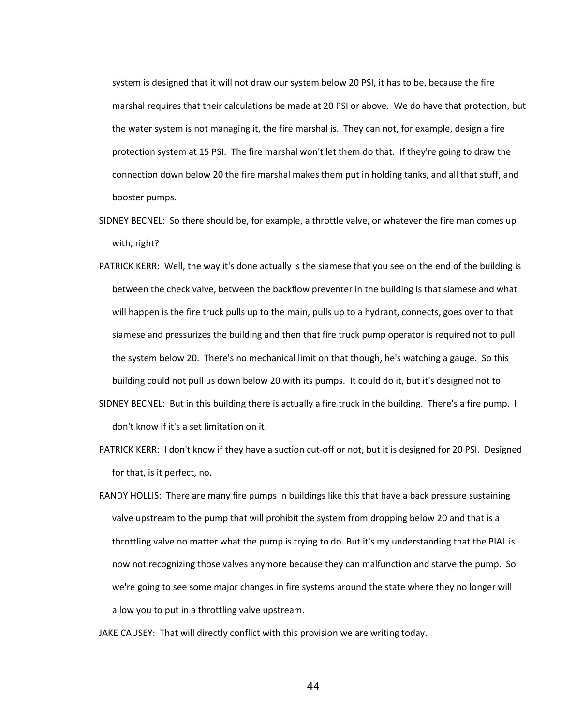system is designed that it will not draw our system below 20 PSI, it has to be, because the fire marshal requires that their calculations be made at 20 PSI or above. We do have that protection, but the water system is not managing it, the fire marshal is. They can not, for example, design a fire protection system at 15 PSI. The fire marshal won't let them do that. If they're going to draw the connection down below 20 the fire marshal makes them put in holding tanks, and all that stuff, and booster pumps.

- SIDNEY BECNEL: So there should be, for example, a throttle valve, or whatever the fire man comes up with, right?
- PATRICK KERR: Well, the way it's done actually is the siamese that you see on the end of the building is between the check valve, between the backflow preventer in the building is that siamese and what will happen is the fire truck pulls up to the main, pulls up to a hydrant, connects, goes over to that siamese and pressurizes the building and then that fire truck pump operator is required not to pull the system below 20. There's no mechanical limit on that though, he's watching a gauge. So this building could not pull us down below 20 with its pumps. It could do it, but it's designed not to.
- SIDNEY BECNEL: But in this building there is actually a fire truck in the building. There's a fire pump. I don't know if it's a set limitation on it.
- PATRICK KERR: I don't know if they have a suction cut-off or not, but it is designed for 20 PSI. Designed for that, is it perfect, no.
- RANDY HOLLIS: There are many fire pumps in buildings like this that have a back pressure sustaining valve upstream to the pump that will prohibit the system from dropping below 20 and that is a throttling valve no matter what the pump is trying to do. But it's my understanding that the PIAL is now not recognizing those valves anymore because they can malfunction and starve the pump. So we're going to see some major changes in fire systems around the state where they no longer will allow you to put in a throttling valve upstream.

JAKE CAUSEY: That will directly conflict with this provision we are writing today.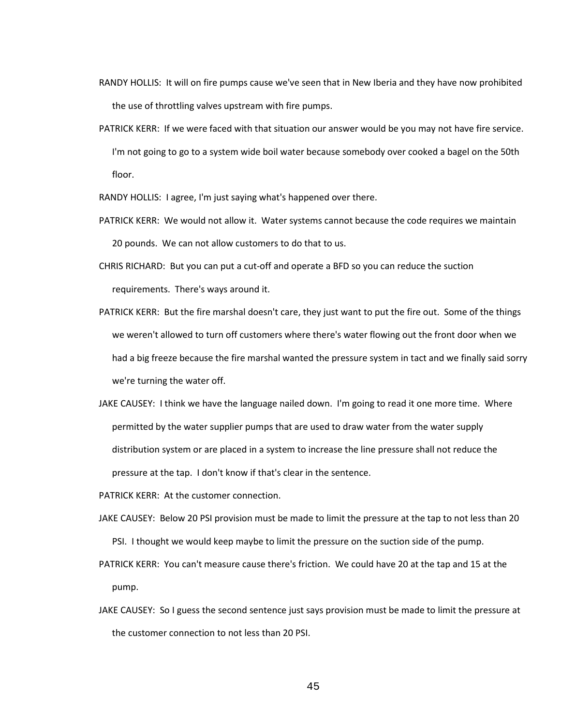- RANDY HOLLIS: It will on fire pumps cause we've seen that in New Iberia and they have now prohibited the use of throttling valves upstream with fire pumps.
- PATRICK KERR: If we were faced with that situation our answer would be you may not have fire service. I'm not going to go to a system wide boil water because somebody over cooked a bagel on the 50th floor.

RANDY HOLLIS: I agree, I'm just saying what's happened over there.

- PATRICK KERR: We would not allow it. Water systems cannot because the code requires we maintain 20 pounds. We can not allow customers to do that to us.
- CHRIS RICHARD: But you can put a cut-off and operate a BFD so you can reduce the suction requirements. There's ways around it.
- PATRICK KERR: But the fire marshal doesn't care, they just want to put the fire out. Some of the things we weren't allowed to turn off customers where there's water flowing out the front door when we had a big freeze because the fire marshal wanted the pressure system in tact and we finally said sorry we're turning the water off.
- JAKE CAUSEY: I think we have the language nailed down. I'm going to read it one more time. Where permitted by the water supplier pumps that are used to draw water from the water supply distribution system or are placed in a system to increase the line pressure shall not reduce the pressure at the tap. I don't know if that's clear in the sentence.
- PATRICK KERR: At the customer connection.
- JAKE CAUSEY: Below 20 PSI provision must be made to limit the pressure at the tap to not less than 20 PSI. I thought we would keep maybe to limit the pressure on the suction side of the pump.
- PATRICK KERR: You can't measure cause there's friction. We could have 20 at the tap and 15 at the pump.
- JAKE CAUSEY: So I guess the second sentence just says provision must be made to limit the pressure at the customer connection to not less than 20 PSI.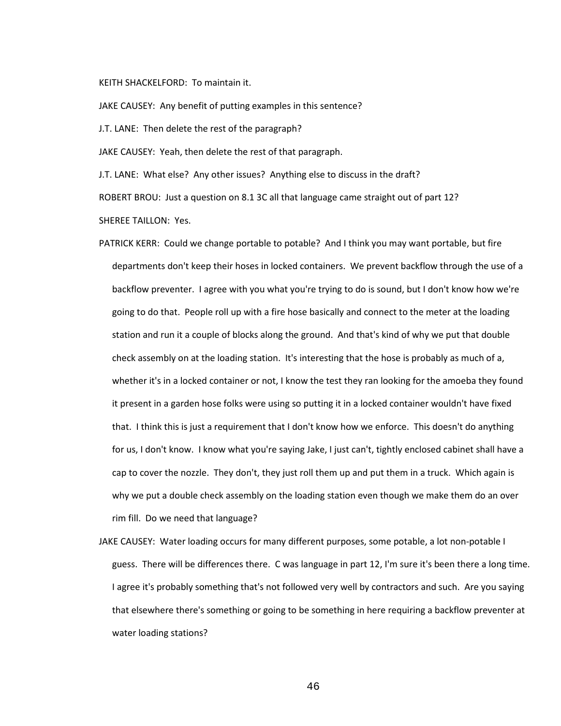## KEITH SHACKELFORD: To maintain it.

JAKE CAUSEY: Any benefit of putting examples in this sentence?

J.T. LANE: Then delete the rest of the paragraph?

JAKE CAUSEY: Yeah, then delete the rest of that paragraph.

J.T. LANE: What else? Any other issues? Anything else to discuss in the draft?

ROBERT BROU: Just a question on 8.1 3C all that language came straight out of part 12?

SHEREE TAILLON: Yes.

- PATRICK KERR: Could we change portable to potable? And I think you may want portable, but fire departments don't keep their hoses in locked containers. We prevent backflow through the use of a backflow preventer. I agree with you what you're trying to do is sound, but I don't know how we're going to do that. People roll up with a fire hose basically and connect to the meter at the loading station and run it a couple of blocks along the ground. And that's kind of why we put that double check assembly on at the loading station. It's interesting that the hose is probably as much of a, whether it's in a locked container or not, I know the test they ran looking for the amoeba they found it present in a garden hose folks were using so putting it in a locked container wouldn't have fixed that. I think this is just a requirement that I don't know how we enforce. This doesn't do anything for us, I don't know. I know what you're saying Jake, I just can't, tightly enclosed cabinet shall have a cap to cover the nozzle. They don't, they just roll them up and put them in a truck. Which again is why we put a double check assembly on the loading station even though we make them do an over rim fill. Do we need that language?
- JAKE CAUSEY: Water loading occurs for many different purposes, some potable, a lot non-potable I guess. There will be differences there. C was language in part 12, I'm sure it's been there a long time. I agree it's probably something that's not followed very well by contractors and such. Are you saying that elsewhere there's something or going to be something in here requiring a backflow preventer at water loading stations?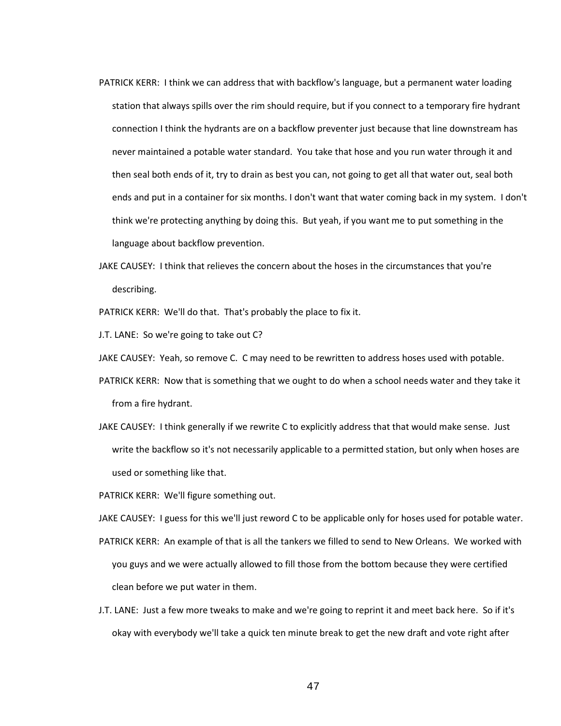- PATRICK KERR: I think we can address that with backflow's language, but a permanent water loading station that always spills over the rim should require, but if you connect to a temporary fire hydrant connection I think the hydrants are on a backflow preventer just because that line downstream has never maintained a potable water standard. You take that hose and you run water through it and then seal both ends of it, try to drain as best you can, not going to get all that water out, seal both ends and put in a container for six months. I don't want that water coming back in my system. I don't think we're protecting anything by doing this. But yeah, if you want me to put something in the language about backflow prevention.
- JAKE CAUSEY: I think that relieves the concern about the hoses in the circumstances that you're describing.
- PATRICK KERR: We'll do that. That's probably the place to fix it.

J.T. LANE: So we're going to take out C?

JAKE CAUSEY: Yeah, so remove C. C may need to be rewritten to address hoses used with potable.

- PATRICK KERR: Now that is something that we ought to do when a school needs water and they take it from a fire hydrant.
- JAKE CAUSEY: I think generally if we rewrite C to explicitly address that that would make sense. Just write the backflow so it's not necessarily applicable to a permitted station, but only when hoses are used or something like that.

PATRICK KERR: We'll figure something out.

JAKE CAUSEY: I guess for this we'll just reword C to be applicable only for hoses used for potable water.

- PATRICK KERR: An example of that is all the tankers we filled to send to New Orleans. We worked with you guys and we were actually allowed to fill those from the bottom because they were certified clean before we put water in them.
- J.T. LANE: Just a few more tweaks to make and we're going to reprint it and meet back here. So if it's okay with everybody we'll take a quick ten minute break to get the new draft and vote right after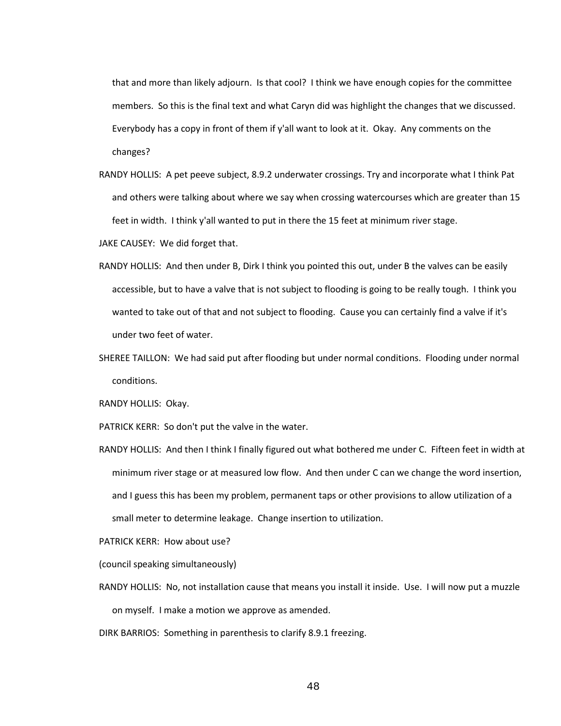that and more than likely adjourn. Is that cool? I think we have enough copies for the committee members. So this is the final text and what Caryn did was highlight the changes that we discussed. Everybody has a copy in front of them if y'all want to look at it. Okay. Any comments on the changes?

- RANDY HOLLIS: A pet peeve subject, 8.9.2 underwater crossings. Try and incorporate what I think Pat and others were talking about where we say when crossing watercourses which are greater than 15 feet in width. I think y'all wanted to put in there the 15 feet at minimum river stage.
- JAKE CAUSEY: We did forget that.
- RANDY HOLLIS: And then under B, Dirk I think you pointed this out, under B the valves can be easily accessible, but to have a valve that is not subject to flooding is going to be really tough. I think you wanted to take out of that and not subject to flooding. Cause you can certainly find a valve if it's under two feet of water.
- SHEREE TAILLON: We had said put after flooding but under normal conditions. Flooding under normal conditions.

RANDY HOLLIS: Okay.

PATRICK KERR: So don't put the valve in the water.

RANDY HOLLIS: And then I think I finally figured out what bothered me under C. Fifteen feet in width at minimum river stage or at measured low flow. And then under C can we change the word insertion, and I guess this has been my problem, permanent taps or other provisions to allow utilization of a small meter to determine leakage. Change insertion to utilization.

PATRICK KERR: How about use?

(council speaking simultaneously)

- RANDY HOLLIS: No, not installation cause that means you install it inside. Use. I will now put a muzzle on myself. I make a motion we approve as amended.
- DIRK BARRIOS: Something in parenthesis to clarify 8.9.1 freezing.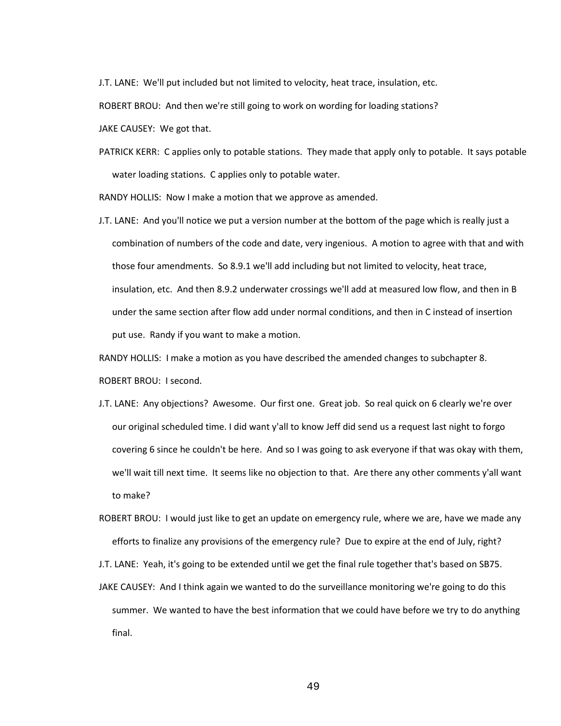J.T. LANE: We'll put included but not limited to velocity, heat trace, insulation, etc.

ROBERT BROU: And then we're still going to work on wording for loading stations?

JAKE CAUSEY: We got that.

PATRICK KERR: C applies only to potable stations. They made that apply only to potable. It says potable water loading stations. C applies only to potable water.

RANDY HOLLIS: Now I make a motion that we approve as amended.

J.T. LANE: And you'll notice we put a version number at the bottom of the page which is really just a combination of numbers of the code and date, very ingenious. A motion to agree with that and with those four amendments. So 8.9.1 we'll add including but not limited to velocity, heat trace, insulation, etc. And then 8.9.2 underwater crossings we'll add at measured low flow, and then in B under the same section after flow add under normal conditions, and then in C instead of insertion put use. Randy if you want to make a motion.

RANDY HOLLIS: I make a motion as you have described the amended changes to subchapter 8.

ROBERT BROU: I second.

- J.T. LANE: Any objections? Awesome. Our first one. Great job. So real quick on 6 clearly we're over our original scheduled time. I did want y'all to know Jeff did send us a request last night to forgo covering 6 since he couldn't be here. And so I was going to ask everyone if that was okay with them, we'll wait till next time. It seems like no objection to that. Are there any other comments y'all want to make?
- ROBERT BROU: I would just like to get an update on emergency rule, where we are, have we made any efforts to finalize any provisions of the emergency rule? Due to expire at the end of July, right?

J.T. LANE: Yeah, it's going to be extended until we get the final rule together that's based on SB75.

JAKE CAUSEY: And I think again we wanted to do the surveillance monitoring we're going to do this summer. We wanted to have the best information that we could have before we try to do anything final.